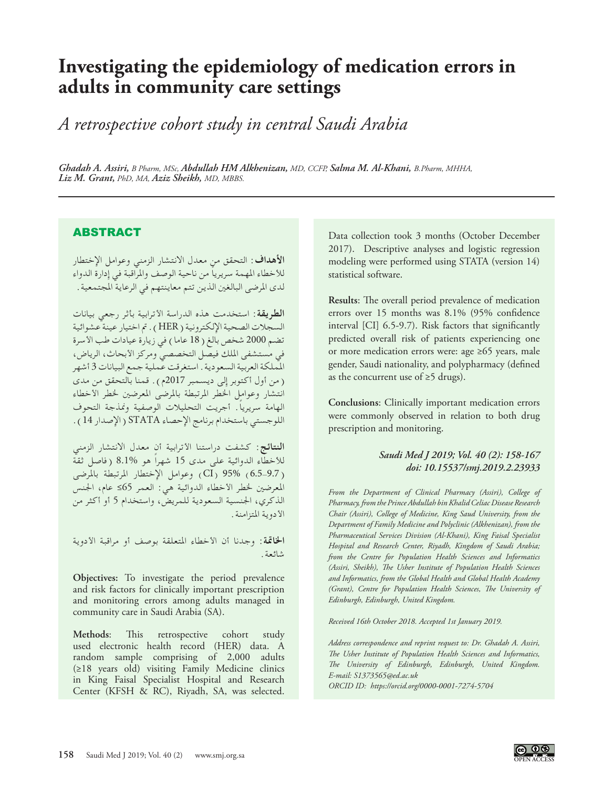# **Investigating the epidemiology of medication errors in adults in community care settings**

*A retrospective cohort study in central Saudi Arabia*

*Ghadah A. Assiri, B Pharm, MSc, Abdullah HM Alkhenizan, MD, CCFP, Salma M. Al-Khani, B.Pharm, MHHA, Liz M. Grant, PhD, MA, Aziz Sheikh, MD, MBBS.*

## **ABSTRACT**

**األهداف**: التحقق من معدل االنتشار الزمني وعوامل اإلختطار للأخطاء المهمة سريرياً من ناحية الوصف والمراقبة في إدارة الدواء لدى المرضى البالغين الذين تتم معاينتهم في الرعاية المجتمعية .

**الطريقة**: استخدمت هذه الدراسة األترابية بأثر رجعي بيانات السجالت الصحية اإللكترونية )HER). مت اختيار عينة عشوائية تضم 2000 شخص بالغ ( 18 عاما ) في زيارة عيادات طب الأسرة في مستشفى امللك فيصل التخصصي ومركز األبحاث، الرياض، اململكة العربية السعودية. استغرقت عملية جمع البيانات 3 أشهر (من أول أكتوبر إلى ديسمبر 2017م). قمنا بالتحقق من مدى انتشار وعوامل الخطر المرتبطة بالمرضى المعرضين لخطر الأخطاء ً الهامة سريريا. أجريت التحليالت الوصفية ومنذجة التحوف اللوجستي باستخدام برنامج اإلحصاء STATA( اإلصدار 14(.

**النتائج**: كشفت دراستنا األترابية أن معدل االنتشار الزمني للأخطاء الدوائية على مدى 15 شهراً هو %8.1 (فاصل ثقة )6.5-9.7) 95% (CI )وعوامل اإلختطار املرتبطة باملرضى املعرضني خلطر األخطاء الدوائية هي: العمر 65≤ عام، اجلنس الذكري، اجلنسية السعودية للمريض، واستخدام 5 أو أكثر من الأدوية المتزامنة.

ا**لخاتمة**: وجدنا أن الأخطاء المتعلقة بوصف أو مراقبة الأدوية شائعة.

**Objectives:** To investigate the period prevalence and risk factors for clinically important prescription and monitoring errors among adults managed in community care in Saudi Arabia (SA).

**Methods**: This retrospective cohort study used electronic health record (HER) data. A random sample comprising of 2,000 adults (≥18 years old) visiting Family Medicine clinics in King Faisal Specialist Hospital and Research Center (KFSH & RC), Riyadh, SA, was selected.

Data collection took 3 months (October December 2017). Descriptive analyses and logistic regression modeling were performed using STATA (version 14) statistical software.

**Results**: The overall period prevalence of medication errors over 15 months was 8.1% (95% confidence interval [CI] 6.5-9.7). Risk factors that significantly predicted overall risk of patients experiencing one or more medication errors were: age ≥65 years, male gender, Saudi nationality, and polypharmacy (defined as the concurrent use of  $\geq$ 5 drugs).

**Conclusions**: Clinically important medication errors were commonly observed in relation to both drug prescription and monitoring.

### *Saudi Med J 2019; Vol. 40 (2): 158-167 doi: 10.15537/smj.2019.2.23933*

*From the Department of Clinical Pharmacy (Assiri), College of Pharmacy, from the Prince Abdullah bin Khalid Celiac Disease Research Chair (Assiri), College of Medicine, King Saud University, from the Department of Family Medicine and Polyclinic (Alkhenizan), from the Pharmaceutical Services Division (Al-Khani), King Faisal Specialist Hospital and Research Center, Riyadh, Kingdom of Saudi Arabia; from the Centre for Population Health Sciences and Informatics (Assiri, Sheikh), The Usher Institute of Population Health Sciences and Informatics, from the Global Health and Global Health Academy (Grant), Centre for Population Health Sciences, The University of Edinburgh, Edinburgh, United Kingdom.*

*Received 16th October 2018. Accepted 1st January 2019.*

*Address correspondence and reprint request to: Dr. Ghadah A. Assiri, The Usher Institute of Population Health Sciences and Informatics, The University of Edinburgh, Edinburgh, United Kingdom. E-mail: S1373565@ed.ac.uk ORCID ID: https://orcid.org/0000-0001-7274-5704*

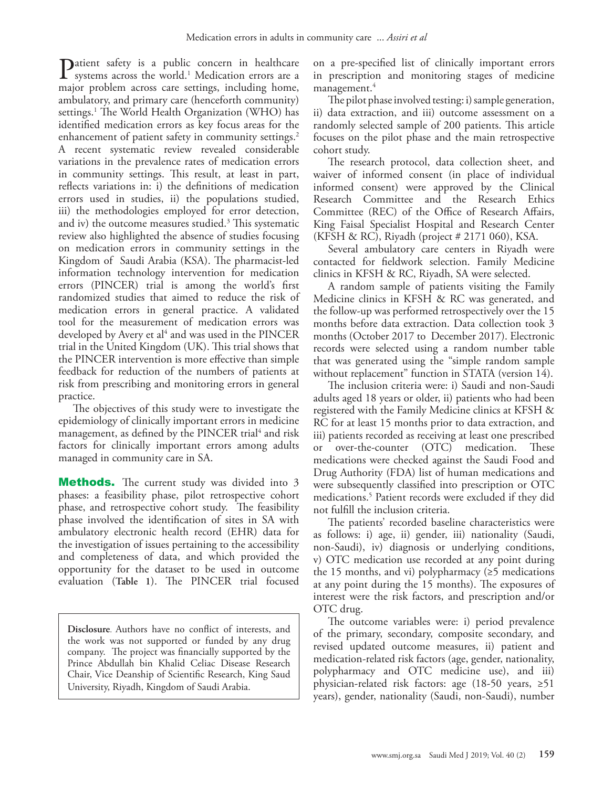Patient safety is a publi[c](#page-8-0) concern in healthcare systems across the world.<sup>1</sup> Medication errors are a major problem across care estringe including home major problem across care settings, including home, ambulatory, and primary care (henceforth community) settings[.1](#page-8-0) The World Health Organization (WHO) has identified medication errors as key focus areas for the enhancement of patient safety in community settings.<sup>2</sup> A recent systematic review revealed considerable variations in the prevalence rates of medication errors in community settings. This result, at least in part, reflects variations in: i) the definitions of medication errors used in studies, ii) the populations studied, iii) the methodologies employed for error detection, and iv) the outcome measures studied[.3](#page-9-1) This systematic review also highlighted the absence of studies focusing on medication errors in community settings in the Kingdom of Saudi Arabia (KSA). The pharmacist-led information technology intervention for medication errors (PINCER) trial is among the world's first randomized studies that aimed to reduce the risk of medication errors in general practice. A validated tool for the measurement of medication errors was developed by Avery et al $4$  and was used in the PINCER trial in the United Kingdom (UK). This trial shows that the PINCER intervention is more effective than simple feedback for reduction of the numbers of patients at risk from prescribing and monitoring errors in general practice.

The objectives of this study were to investigate the epidemiology of clinically important errors in medicine management, as defined by the PINCER trial<sup>[4](#page-9-2)</sup> and risk factors for clinically important errors among adults managed in community care in SA.

**Methods.** The current study was divided into 3 phases: a feasibility phase, pilot retrospective cohort phase, and retrospective cohort study. The feasibility phase involved the identification of sites in SA with ambulatory electronic health record (EHR) data for the investigation of issues pertaining to the accessibility and completeness of data, and which provided the opportunity for the dataset to be used in outcome evaluation (**Table 1**). The PINCER trial focused

**Disclosure**. Authors have no conflict of interests, and the work was not supported or funded by any drug company. The project was financially supported by the Prince Abdullah bin Khalid Celiac Disease Research Chair, Vice Deanship of Scientific Research, King Saud University, Riyadh, Kingdom of Saudi Arabia.

on a pre-specified list of clinically important errors in prescription and monitoring stages of medicine management.<sup>[4](#page-9-2)</sup>

The pilot phase involved testing: i) sample generation, ii) data extraction, and iii) outcome assessment on a randomly selected sample of 200 patients. This article focuses on the pilot phase and the main retrospective cohort study.

The research protocol, data collection sheet, and waiver of informed consent (in place of individual informed consent) were approved by the Clinical Research Committee and the Research Ethics Committee (REC) of the Office of Research Affairs, King Faisal Specialist Hospital and Research Center (KFSH & RC), Riyadh (project # 2171 060), KSA.

Several ambulatory care centers in Riyadh were contacted for fieldwork selection. Family Medicine clinics in KFSH & RC, Riyadh, SA were selected.

A random sample of patients visiting the Family Medicine clinics in KFSH & RC was generated, and the follow-up was performed retrospectively over the 15 months before data extraction. Data collection took 3 months (October 2017 to December 2017). Electronic records were selected using a random number table that was generated using the "simple random sample without replacement" function in STATA (version 14).

The inclusion criteria were: i) Saudi and non-Saudi adults aged 18 years or older, ii) patients who had been registered with the Family Medicine clinics at KFSH & RC for at least 15 months prior to data extraction, and iii) patients recorded as receiving at least one prescribed or over-the-counter (OTC) medication. These medications were checked against the Saudi Food and Drug Authority (FDA) list of human medications and were subsequently classified into prescription or OTC medications[.5](#page-9-3) Patient records were excluded if they did not fulfill the inclusion criteria.

The patients' recorded baseline characteristics were as follows: i) age, ii) gender, iii) nationality (Saudi, non-Saudi), iv) diagnosis or underlying conditions, v) OTC medication use recorded at any point during the 15 months, and vi) polypharmacy  $(\geq 5$  medications at any point during the 15 months). The exposures of interest were the risk factors, and prescription and/or OTC drug.

The outcome variables were: i) period prevalence of the primary, secondary, composite secondary, and revised updated outcome measures, ii) patient and medication-related risk factors (age, gender, nationality, polypharmacy and OTC medicine use), and iii) physician-related risk factors: age (18-50 years, ≥51 years), gender, nationality (Saudi, non-Saudi), number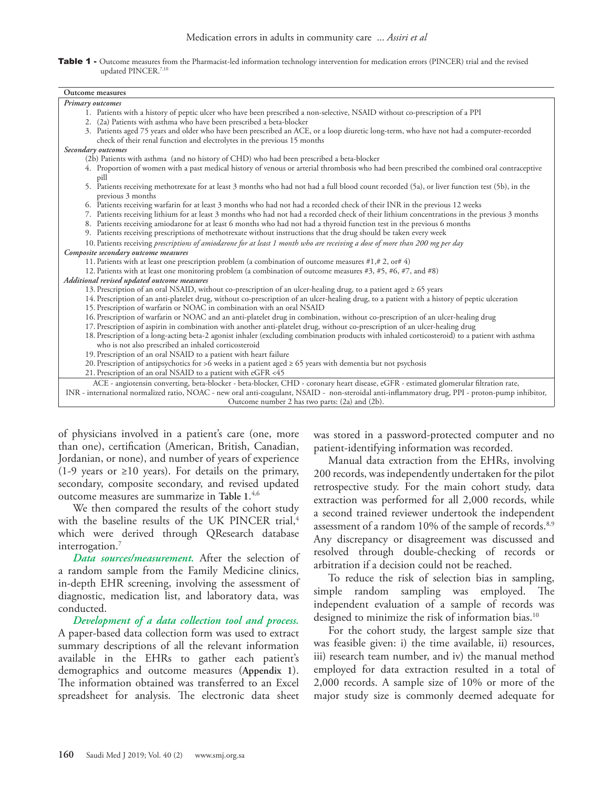

| Outcome measures                                                                                                                                 |
|--------------------------------------------------------------------------------------------------------------------------------------------------|
| Primary outcomes                                                                                                                                 |
| 1. Patients with a history of peptic ulcer who have been prescribed a non-selective, NSAID without co-prescription of a PPI                      |
| 2. (2a) Patients with asthma who have been prescribed a beta-blocker                                                                             |
| 3. Patients aged 75 years and older who have been prescribed an ACE, or a loop diuretic long-term, who have not had a computer-recorded          |
| check of their renal function and electrolytes in the previous 15 months                                                                         |
| Secondary outcomes                                                                                                                               |
| (2b) Patients with asthma (and no history of CHD) who had been prescribed a beta-blocker                                                         |
| 4. Proportion of women with a past medical history of venous or arterial thrombosis who had been prescribed the combined oral contraceptive      |
| pill                                                                                                                                             |
| 5. Patients receiving methotrexate for at least 3 months who had not had a full blood count recorded (5a), or liver function test (5b), in the   |
| previous 3 months                                                                                                                                |
| 6. Patients receiving warfarin for at least 3 months who had not had a recorded check of their INR in the previous 12 weeks                      |
| 7. Patients receiving lithium for at least 3 months who had not had a recorded check of their lithium concentrations in the previous 3 months    |
| 8. Patients receiving amiodarone for at least 6 months who had not had a thyroid function test in the previous 6 months                          |
| 9. Patients receiving prescriptions of methotrexate without instructions that the drug should be taken every week                                |
| 10. Patients receiving prescriptions of amiodarone for at least 1 month who are receiving a dose of more than 200 mg per day                     |
| Composite secondary outcome measures                                                                                                             |
| 11. Patients with at least one prescription problem (a combination of outcome measures #1,# 2, or# 4)                                            |
| 12. Patients with at least one monitoring problem (a combination of outcome measures #3, #5, #6, #7, and #8)                                     |
| Additional revised updated outcome measures                                                                                                      |
| 13. Prescription of an oral NSAID, without co-prescription of an ulcer-healing drug, to a patient aged ≥ 65 years                                |
| 14. Prescription of an anti-platelet drug, without co-prescription of an ulcer-healing drug, to a patient with a history of peptic ulceration    |
| 15. Prescription of warfarin or NOAC in combination with an oral NSAID                                                                           |
| 16. Prescription of warfarin or NOAC and an anti-platelet drug in combination, without co-prescription of an ulcer-healing drug                  |
| 17. Prescription of aspirin in combination with another anti-platelet drug, without co-prescription of an ulcer-healing drug                     |
| 18. Prescription of a long-acting beta-2 agonist inhaler (excluding combination products with inhaled corticosteroid) to a patient with asthma   |
| who is not also prescribed an inhaled corticosteroid                                                                                             |
| 19. Prescription of an oral NSAID to a patient with heart failure                                                                                |
| 20. Prescription of antipsychotics for >6 weeks in a patient aged $\geq$ 65 years with dementia but not psychosis                                |
| 21. Prescription of an oral NSAID to a patient with eGFR <45                                                                                     |
| ACE - angiotensin converting, beta-blocker - beta-blocker, CHD - coronary heart disease, eGFR - estimated glomerular filtration rate,            |
| INR - international normalized ratio, NOAC - new oral anti-coagulant, NSAID - non-steroidal anti-inflammatory drug, PPI - proton-pump inhibitor, |
| Outcome number 2 has two parts: (2a) and (2b).                                                                                                   |
|                                                                                                                                                  |

of physicians involved in a patient's care (one, more than one), certification (American, British, Canadian, Jordanian, or none), and number of years of experience (1-9 years or  $\geq 10$  years). For details on the primary, secondary, composite secondary, and revised updated outcome measures are summarize in **Table 1**. [4,](#page-9-2)[6](#page-9-4)

We then compared the results of the cohort study with the baseline results of the UK PINCER trial,<sup>4</sup> which were derived through QResearch database interrogation.<sup>[7](#page-9-5)</sup>

*Data sources/measurement.* After the selection of a random sample from the Family Medicine clinics, in-depth EHR screening, involving the assessment of diagnostic, medication list, and laboratory data, was conducted.

*Development of a data collection tool and process.*  A paper-based data collection form was used to extract summary descriptions of all the relevant information available in the EHRs to gather each patient's demographics and outcome measures (**Appendix 1**). The information obtained was transferred to an Excel spreadsheet for analysis. The electronic data sheet was stored in a password-protected computer and no patient-identifying information was recorded.

Manual data extraction from the EHRs, involving 200 records, was independently undertaken for the pilot retrospective study. For the main cohort study, data extraction was performed for all 2,000 records, while a second trained reviewer undertook the independent assessment of a random 10% of the sample of records.<sup>[8](#page-9-6)[,9](#page-9-7)</sup> Any discrepancy or disagreement was discussed and resolved through double-checking of records or arbitration if a decision could not be reached.

To reduce the risk of selection bias in sampling, simple random sampling was employed. The independent evaluation of a sample of records was designed to minimize the risk of information bias.<sup>10</sup>

For the cohort study, the largest sample size that was feasible given: i) the time available, ii) resources, iii) research team number, and iv) the manual method employed for data extraction resulted in a total of 2,000 records. A sample size of 10% or more of the major study size is commonly deemed adequate for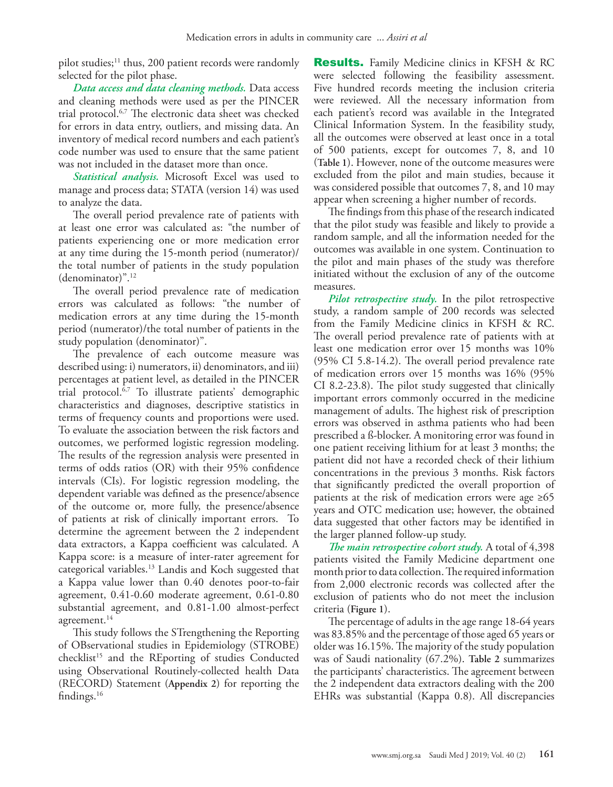pilot studies; $^{11}$  $^{11}$  $^{11}$  thus, 200 patient records were randomly selected for the pilot phase.

*Data access and data cleaning methods.* Data access and cleaning methods were used as per the PINCER trial protocol.[6](#page-9-4)[,7](#page-9-5) The electronic data sheet was checked for errors in data entry, outliers, and missing data. An inventory of medical record numbers and each patient's code number was used to ensure that the same patient was not included in the dataset more than once.

*Statistical analysis.* Microsoft Excel was used to manage and process data; STATA (version 14) was used to analyze the data.

The overall period prevalence rate of patients with at least one error was calculated as: "the number of patients experiencing one or more medication error at any time during the 15-month period (numerator)/ the total number of patients in the study population (denominator)"[.12](#page-9-10)

The overall period prevalence rate of medication errors was calculated as follows: "the number of medication errors at any time during the 15-month period (numerator)/the total number of patients in the study population (denominator)".

The prevalence of each outcome measure was described using: i) numerators, ii) denominators, and iii) percentages at patient level, as detailed in the PINCER trial protocol. $6,7$  $6,7$  To illustrate patients' demographic characteristics and diagnoses, descriptive statistics in terms of frequency counts and proportions were used. To evaluate the association between the risk factors and outcomes, we performed logistic regression modeling. The results of the regression analysis were presented in terms of odds ratios (OR) with their 95% confidence intervals (CIs). For logistic regression modeling, the dependent variable was defined as the presence/absence of the outcome or, more fully, the presence/absence of patients at risk of clinically important errors. To determine the agreement between the 2 independent data extractors, a Kappa coefficient was calculated. A Kappa score: is a measure of inter-rater agreement for categorical variables.[13](#page-9-11) Landis and Koch suggested that a Kappa value lower than 0.40 denotes poor-to-fair agreement, 0.41-0.60 moderate agreement, 0.61-0.80 substantial agreement, and 0.81-1.00 almost-perfect agreement.<sup>14</sup>

This study follows the STrengthening the Reporting of OBservational studies in Epidemiology (STROBE) checklist<sup>15</sup> and the REporting of studies Conducted using Observational Routinely-collected health Data (RECORD) Statement (**Appendix 2**) for reporting the findings.16

**Results.** Family Medicine clinics in KFSH & RC were selected following the feasibility assessment. Five hundred records meeting the inclusion criteria were reviewed. All the necessary information from each patient's record was available in the Integrated Clinical Information System. In the feasibility study, all the outcomes were observed at least once in a total of 500 patients, except for outcomes 7, 8, and 10 (**Table 1**). However, none of the outcome measures were excluded from the pilot and main studies, because it was considered possible that outcomes 7, 8, and 10 may appear when screening a higher number of records.

The findings from this phase of the research indicated that the pilot study was feasible and likely to provide a random sample, and all the information needed for the outcomes was available in one system. Continuation to the pilot and main phases of the study was therefore initiated without the exclusion of any of the outcome measures.

*Pilot retrospective study*. In the pilot retrospective study, a random sample of 200 records was selected from the Family Medicine clinics in KFSH & RC. The overall period prevalence rate of patients with at least one medication error over 15 months was 10% (95% CI 5.8-14.2). The overall period prevalence rate of medication errors over 15 months was 16% (95% CI 8.2-23.8). The pilot study suggested that clinically important errors commonly occurred in the medicine management of adults. The highest risk of prescription errors was observed in asthma patients who had been prescribed a ß-blocker. A monitoring error was found in one patient receiving lithium for at least 3 months; the patient did not have a recorded check of their lithium concentrations in the previous 3 months. Risk factors that significantly predicted the overall proportion of patients at the risk of medication errors were age  $\geq 65$ years and OTC medication use; however, the obtained data suggested that other factors may be identified in the larger planned follow-up study.

*The main retrospective cohort study.* A total of 4,398 patients visited the Family Medicine department one month prior to data collection. The required information from 2,000 electronic records was collected after the exclusion of patients who do not meet the inclusion criteria (**Figure 1**).

The percentage of adults in the age range 18-64 years was 83.85% and the percentage of those aged 65 years or older was 16.15%. The majority of the study population was of Saudi nationality (67.2%). **Table 2** summarizes the participants' characteristics. The agreement between the 2 independent data extractors dealing with the 200 EHRs was substantial (Kappa 0.8). All discrepancies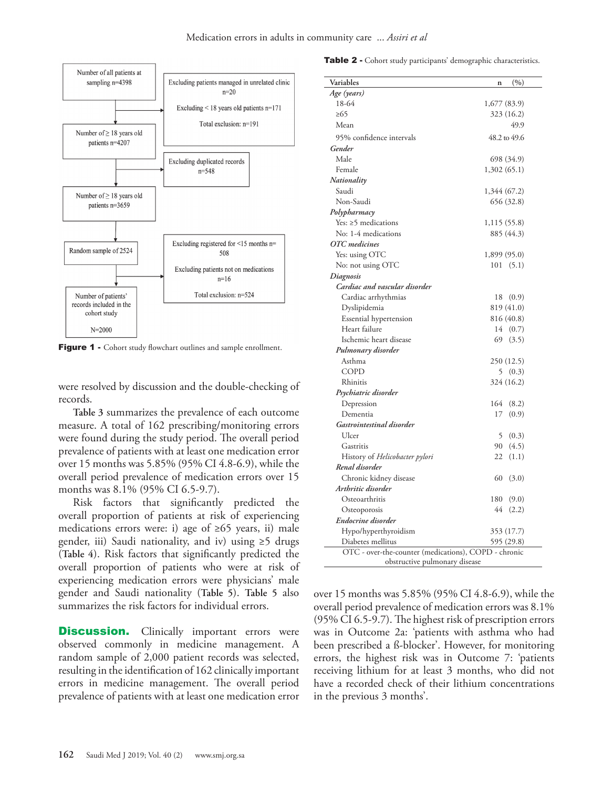

Figure 1 - Cohort study flowchart outlines and sample enrollment.

were resolved by discussion and the double-checking of records.

**Table 3** summarizes the prevalence of each outcome measure. A total of 162 prescribing/monitoring errors were found during the study period. The overall period prevalence of patients with at least one medication error over 15 months was 5.85% (95% CI 4.8-6.9), while the overall period prevalence of medication errors over 15 months was 8.1% (95% CI 6.5-9.7).

Risk factors that significantly predicted the overall proportion of patients at risk of experiencing medications errors were: i) age of ≥65 years, ii) male gender, iii) Saudi nationality, and iv) using ≥5 drugs (**Table 4**). Risk factors that significantly predicted the overall proportion of patients who were at risk of experiencing medication errors were physicians' male gender and Saudi nationality (**Table 5**). **Table 5** also summarizes the risk factors for individual errors.

**Discussion.** Clinically important errors were observed commonly in medicine management. A random sample of 2,000 patient records was selected, resulting in the identification of 162 clinically important errors in medicine management. The overall period prevalence of patients with at least one medication error

Table 2 - Cohort study participants' demographic characteristics.

| Variables                                            | (%)<br>$\mathbf n$ |
|------------------------------------------------------|--------------------|
| Age (years)                                          |                    |
| 18-64                                                | 1,677 (83.9)       |
| >65                                                  | 323 (16.2)         |
| Mean                                                 | 49.9               |
| 95% confidence intervals                             | 48.2 to 49.6       |
| Gender                                               |                    |
| Male                                                 | 698 (34.9)         |
| Female                                               | 1,302(65.1)        |
| Nationality                                          |                    |
| Saudi                                                | 1,344 (67.2)       |
| Non-Saudi                                            | 656 (32.8)         |
| Polypharmacy                                         |                    |
| Yes: $\geq$ 5 medications                            | 1,115 (55.8)       |
| No: 1-4 medications                                  | 885 (44.3)         |
| OTC medicines                                        |                    |
| Yes: using OTC                                       | 1,899 (95.0)       |
| No: not using OTC                                    | 101(5.1)           |
| Diagnosis                                            |                    |
| Cardiac and vascular disorder                        |                    |
| Cardiac arrhythmias                                  | 18<br>(0.9)        |
| Dyslipidemia                                         | 819 (41.0)         |
| Essential hypertension                               | 816 (40.8)         |
| Heart failure                                        | 14(0.7)            |
| Ischemic heart disease                               | 69<br>(3.5)        |
| Pulmonary disorder                                   |                    |
| Asthma                                               | 250 (12.5)         |
| <b>COPD</b>                                          | 5(0.3)             |
| Rhinitis                                             | 324 (16.2)         |
| Psychiatric disorder                                 |                    |
| Depression                                           | 164<br>(8.2)       |
| Dementia                                             | 17<br>(0.9)        |
| Gastrointestinal disorder                            |                    |
| Ulcer                                                | 5<br>(0.3)         |
| Gastritis                                            | 90<br>(4.5)        |
| History of Helicobacter pylori                       | 22<br>(1.1)        |
| Renal disorder                                       |                    |
| Chronic kidney disease                               | 60<br>(3.0)        |
| Arthritic disorder                                   |                    |
| Osteoarthritis                                       | 180<br>(9.0)       |
| Osteoporosis                                         | 44<br>(2.2)        |
| Endocrine disorder                                   |                    |
| Hypo/hyperthyroidism                                 | 353 (17.7)         |
| Diabetes mellitus                                    | 595 (29.8)         |
| OTC - over-the-counter (medications), COPD - chronic |                    |
| obstructive pulmonary disease                        |                    |

over 15 months was 5.85% (95% CI 4.8-6.9), while the overall period prevalence of medication errors was 8.1% (95% CI 6.5-9.7). The highest risk of prescription errors was in Outcome 2a: 'patients with asthma who had been prescribed a ß-blocker'. However, for monitoring errors, the highest risk was in Outcome 7: 'patients receiving lithium for at least 3 months, who did not have a recorded check of their lithium concentrations in the previous 3 months'.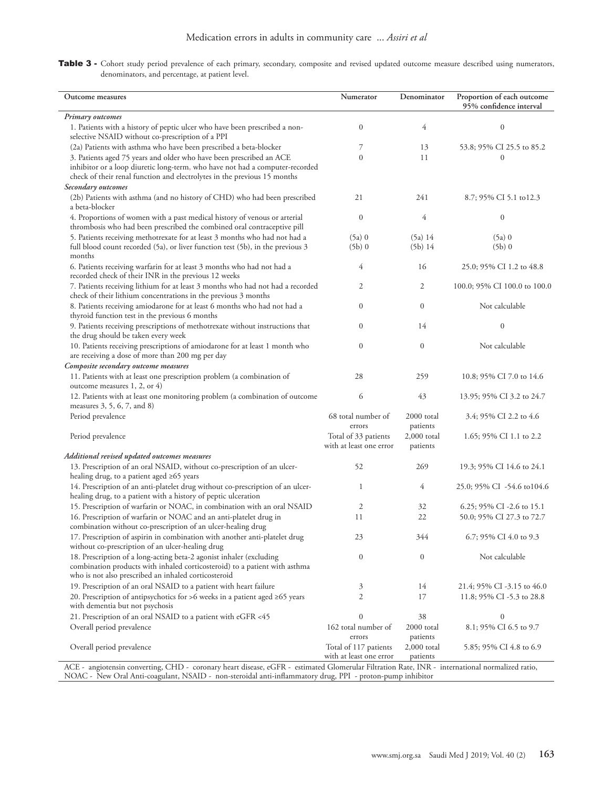Table 3 - Cohort study period prevalence of each primary, secondary, composite and revised updated outcome measure described using numerators, denominators, and percentage, at patient level.

| Outcome measures                                                                                                                                                                                          | Numerator                                              | Denominator                           | Proportion of each outcome<br>95% confidence interval |
|-----------------------------------------------------------------------------------------------------------------------------------------------------------------------------------------------------------|--------------------------------------------------------|---------------------------------------|-------------------------------------------------------|
| Primary outcomes<br>1. Patients with a history of peptic ulcer who have been prescribed a non-<br>selective NSAID without co-prescription of a PPI                                                        | $\boldsymbol{0}$                                       | 4                                     | $\boldsymbol{0}$                                      |
| (2a) Patients with asthma who have been prescribed a beta-blocker<br>3. Patients aged 75 years and older who have been prescribed an ACE                                                                  | 7<br>$\theta$                                          | 13<br>11                              | 53.8; 95% CI 25.5 to 85.2<br>$\theta$                 |
| inhibitor or a loop diuretic long-term, who have not had a computer-recorded<br>check of their renal function and electrolytes in the previous 15 months<br>Secondary outcomes                            |                                                        |                                       |                                                       |
| (2b) Patients with asthma (and no history of CHD) who had been prescribed<br>a beta-blocker                                                                                                               | 21                                                     | 241                                   | 8.7; 95% CI 5.1 to 12.3                               |
| 4. Proportions of women with a past medical history of venous or arterial<br>thrombosis who had been prescribed the combined oral contraceptive pill                                                      | $\mathbf{0}$                                           | 4                                     | $\boldsymbol{0}$                                      |
| 5. Patients receiving methotrexate for at least 3 months who had not had a<br>full blood count recorded (5a), or liver function test (5b), in the previous 3<br>months                                    | $(5a)$ 0<br>$(5b)$ 0                                   | (5a) 14<br>(5b) 14                    | $(5a)$ 0<br>$(5b)$ 0                                  |
| 6. Patients receiving warfarin for at least 3 months who had not had a<br>recorded check of their INR in the previous 12 weeks                                                                            | 4                                                      | 16                                    | 25.0; 95% CI 1.2 to 48.8                              |
| 7. Patients receiving lithium for at least 3 months who had not had a recorded<br>check of their lithium concentrations in the previous 3 months                                                          | $\mathfrak{2}$                                         | 2                                     | 100.0; 95% CI 100.0 to 100.0                          |
| 8. Patients receiving amiodarone for at least 6 months who had not had a<br>thyroid function test in the previous 6 months                                                                                | $\Omega$<br>$\overline{0}$                             | $\mathbf{0}$<br>14                    | Not calculable<br>$\boldsymbol{0}$                    |
| 9. Patients receiving prescriptions of methotrexate without instructions that<br>the drug should be taken every week<br>10. Patients receiving prescriptions of amiodarone for at least 1 month who       | $\overline{0}$                                         | $\mathbf{0}$                          | Not calculable                                        |
| are receiving a dose of more than 200 mg per day<br>Composite secondary outcome measures                                                                                                                  |                                                        |                                       |                                                       |
| 11. Patients with at least one prescription problem (a combination of<br>outcome measures 1, 2, or 4)                                                                                                     | 28                                                     | 259                                   | 10.8; 95% CI 7.0 to 14.6                              |
| 12. Patients with at least one monitoring problem (a combination of outcome<br>measures 3, 5, 6, 7, and 8)                                                                                                | 6                                                      | 43                                    | 13.95; 95% CI 3.2 to 24.7                             |
| Period prevalence                                                                                                                                                                                         | 68 total number of<br>errors                           | 2000 total<br>patients                | 3.4; 95% CI 2.2 to 4.6                                |
| Period prevalence                                                                                                                                                                                         | Total of 33 patients<br>with at least one error        | $2,000$ total<br>patients             | 1.65; 95% CI 1.1 to 2.2                               |
| Additional revised updated outcomes measures<br>13. Prescription of an oral NSAID, without co-prescription of an ulcer-<br>healing drug, to a patient aged $\geq 65$ years                                | 52                                                     | 269                                   | 19.3; 95% CI 14.6 to 24.1                             |
| 14. Prescription of an anti-platelet drug without co-prescription of an ulcer-<br>healing drug, to a patient with a history of peptic ulceration                                                          | 1                                                      | 4                                     | 25.0; 95% CI -54.6 to 104.6                           |
| 15. Prescription of warfarin or NOAC, in combination with an oral NSAID                                                                                                                                   | $\mathfrak{2}$                                         | 32                                    | 6.25; 95% CI -2.6 to 15.1                             |
| 16. Prescription of warfarin or NOAC and an anti-platelet drug in<br>combination without co-prescription of an ulcer-healing drug                                                                         | 11                                                     | 22                                    | 50.0; 95% CI 27.3 to 72.7                             |
| 17. Prescription of aspirin in combination with another anti-platelet drug<br>without co-prescription of an ulcer-healing drug                                                                            | 23                                                     | 344                                   | 6.7; 95% CI 4.0 to 9.3                                |
| 18. Prescription of a long-acting beta-2 agonist inhaler (excluding<br>combination products with inhaled corticosteroid) to a patient with asthma<br>who is not also prescribed an inhaled corticosteroid | $\boldsymbol{0}$                                       | $\boldsymbol{0}$                      | Not calculable                                        |
| 19. Prescription of an oral NSAID to a patient with heart failure                                                                                                                                         | 3                                                      | 14                                    | 21.4; 95% CI -3.15 to 46.0                            |
| 20. Prescription of antipsychotics for >6 weeks in a patient aged $\geq 65$ years<br>with dementia but not psychosis                                                                                      | $\mathfrak{2}$                                         | 17                                    | 11.8; 95% CI -5.3 to 28.8                             |
| 21. Prescription of an oral NSAID to a patient with eGFR <45                                                                                                                                              | $\theta$                                               | 38                                    | 0                                                     |
| Overall period prevalence<br>Overall period prevalence                                                                                                                                                    | 162 total number of<br>errors<br>Total of 117 patients | 2000 total<br>patients<br>2,000 total | 8.1; 95% CI 6.5 to 9.7<br>5.85; 95% CI 4.8 to 6.9     |
| ACE - angiotensin converting. CHD - coronary heart disease, eGFR - estimated Glomerular Filtration Rate. INR - international normalized ratio.                                                            | with at least one error                                | patients                              |                                                       |

ACE - angiotensin converting, CHD - coronary heart disease, eGFR - estimated Glomerular Filtration Rate, INR - international normalized ratio, NOAC - New Oral Anti-coagulant, NSAID - non-steroidal anti-inflammatory drug, PPI - proton-pump inhibitor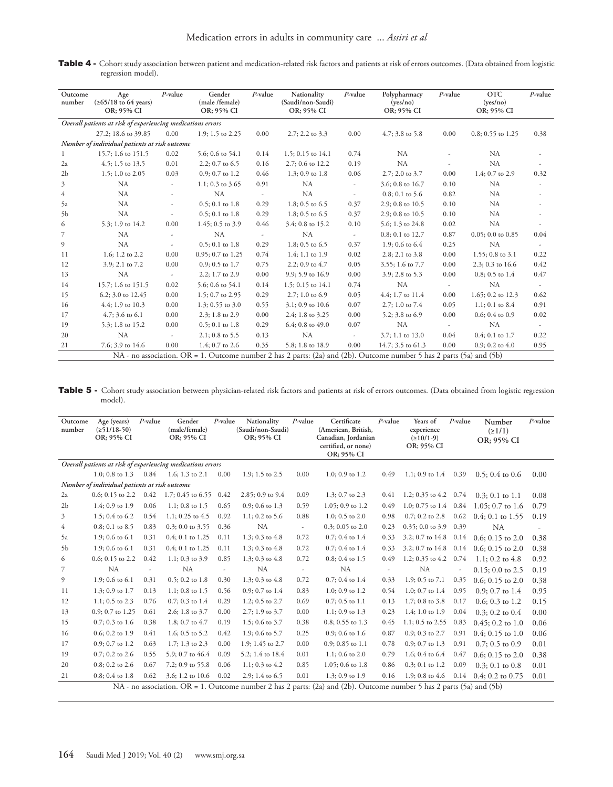Table 4 - Cohort study association between patient and medication-related risk factors and patients at risk of errors outcomes. (Data obtained from logistic regression model).

| Outcome<br>number | Age<br>$(\geq 65/18$ to 64 years)<br>OR; 95% CI             | $P$ -value               | Gender<br>(male /female)<br>OR; 95% CI | $P$ -value               | Nationality<br>(Saudi/non-Saudi)<br>OR; 95% CI                                                                       | $P$ -value               | Polypharmacy<br>(yes/no)<br>OR; 95% CI | $P$ -value               | <b>OTC</b><br>(yes/no)<br>OR; 95% CI | $P$ -value               |
|-------------------|-------------------------------------------------------------|--------------------------|----------------------------------------|--------------------------|----------------------------------------------------------------------------------------------------------------------|--------------------------|----------------------------------------|--------------------------|--------------------------------------|--------------------------|
|                   | Overall patients at risk of experiencing medications errors |                          |                                        |                          |                                                                                                                      |                          |                                        |                          |                                      |                          |
|                   | 27.2; 18.6 to 39.85                                         | 0.00                     | $1.9$ ; 1.5 to 2.25                    | 0.00                     | 2.7; 2.2 to 3.3                                                                                                      | 0.00                     | $4.7: 3.8$ to 5.8                      | 0.00                     | $0.8; 0.55$ to 1.25                  | 0.38                     |
|                   | Number of individual patients at risk outcome               |                          |                                        |                          |                                                                                                                      |                          |                                        |                          |                                      |                          |
|                   | 15.7; 1.6 to 151.5                                          | 0.02                     | 5.6; 0.6 to 54.1                       | 0.14                     | 1.5; 0.15 to 14.1                                                                                                    | 0.74                     | NA                                     |                          | NA                                   |                          |
| 2a                | $4.5$ ; 1.5 to 13.5                                         | 0.01                     | 2.2; 0.7 to $6.5$                      | 0.16                     | 2.7; 0.6 to 12.2                                                                                                     | 0.19                     | NA                                     |                          | <b>NA</b>                            |                          |
| 2 <sub>b</sub>    | 1.5; 1.0 to 2.05                                            | 0.03                     | $0.9; 0.7$ to 1.2                      | 0.46                     | 1.3; 0.9 to $1.8$                                                                                                    | 0.06                     | $2.7; 2.0$ to $3.7$                    | 0.00                     | 1.4; 0.7 to 2.9                      | 0.32                     |
| 3                 | <b>NA</b>                                                   | $\overline{\phantom{a}}$ | 1.1; 0.3 to $3.65$                     | 0.91                     | NA                                                                                                                   | $\overline{\phantom{a}}$ | 3.6; 0.8 to 16.7                       | 0.10                     | <b>NA</b>                            |                          |
| $\overline{4}$    | <b>NA</b>                                                   |                          | NA                                     | $\overline{\phantom{a}}$ | NA                                                                                                                   | ٠                        | $0.8; 0.1$ to 5.6                      | 0.82                     | NA                                   |                          |
| 5a                | <b>NA</b>                                                   |                          | $0.5; 0.1$ to $1.8$                    | 0.29                     | 1.8; 0.5 to $6.5$                                                                                                    | 0.37                     | 2.9; 0.8 to 10.5                       | 0.10                     | <b>NA</b>                            |                          |
| 5 <sub>b</sub>    | NA                                                          | ٠                        | $0.5; 0.1$ to $1.8$                    | 0.29                     | 1.8; 0.5 to $6.5$                                                                                                    | 0.37                     | 2.9; 0.8 to 10.5                       | 0.10                     | NA                                   |                          |
| 6                 | 5.3; 1.9 to 14.2                                            | 0.00                     | $1.45$ ; 0.5 to 3.9                    | 0.46                     | 3.4; 0.8 to 15.2                                                                                                     | 0.10                     | 5.6; 1.3 to 24.8                       | 0.02                     | NA                                   |                          |
| 7                 | <b>NA</b>                                                   | ٠                        | NA                                     | $\overline{\phantom{a}}$ | <b>NA</b>                                                                                                            | $\overline{\phantom{a}}$ | $0.8; 0.1$ to 12.7                     | 0.87                     | $0.05; 0.0$ to $0.85$                | 0.04                     |
| 9                 | <b>NA</b>                                                   |                          | $0.5; 0.1$ to $1.8$                    | 0.29                     | 1.8; 0.5 to $6.5$                                                                                                    | 0.37                     | 1.9; 0.6 to $6.4$                      | 0.25                     | NA                                   |                          |
| 11                | 1.6; 1.2 to 2.2                                             | 0.00                     | $0.95; 0.7$ to 1.25                    | 0.74                     | $1.4$ ; 1.1 to 1.9                                                                                                   | 0.02                     | 2.8; 2.1 to 3.8                        | 0.00                     | $1.55$ ; 0.8 to 3.1                  | 0.22                     |
| 12                | 3.9; 2.1 to 7.2                                             | 0.00                     | $0.9; 0.5$ to 1.7                      | 0.75                     | 2.2; 0.9 to $4.7$                                                                                                    | 0.05                     | 3.55; 1.6 to 7.7                       | 0.00                     | 2.3; 0.3 to $16.6$                   | 0.42                     |
| 13                | NA                                                          | $\overline{\phantom{a}}$ | $2.2$ ; 1.7 to $2.9$                   | 0.00                     | 9.9; 5.9 to 16.9                                                                                                     | 0.00                     | $3.9: 2.8$ to $5.3$                    | 0.00                     | $0.8; 0.5$ to $1.4$                  | 0.47                     |
| 14                | 15.7; 1.6 to 151.5                                          | 0.02                     | 5.6; 0.6 to 54.1                       | 0.14                     | 1.5; 0.15 to 14.1                                                                                                    | 0.74                     | <b>NA</b>                              | $\overline{\phantom{a}}$ | NA                                   | $\overline{\phantom{a}}$ |
| 15                | 6.2; 3.0 to 12.45                                           | 0.00                     | 1.5; 0.7 to 2.95                       | 0.29                     | $2.7:1.0 \text{ to } 6.9$                                                                                            | 0.05                     | $4.4$ ; 1.7 to 11.4                    | 0.00                     | 1.65; 0.2 to 12.3                    | 0.62                     |
| 16                | $4.4:1.9$ to $10.3$                                         | 0.00                     | 1.3; 0.55 to $3.0$                     | 0.55                     | 3.1; 0.9 to 10.6                                                                                                     | 0.07                     | 2.7; 1.0 to 7.4                        | 0.05                     | $1.1: 0.1$ to $8.4$                  | 0.91                     |
| 17                | $4.7: 3.6$ to $6.1$                                         | 0.00                     | 2.3; 1.8 to 2.9                        | 0.00                     | 2.4; 1.8 to 3.25                                                                                                     | 0.00                     | 5.2; 3.8 to 6.9                        | 0.00                     | $0.6; 0.4$ to $0.9$                  | 0.02                     |
| 19                | 5.3; 1.8 to 15.2                                            | 0.00                     | $0.5; 0.1$ to $1.8$                    | 0.29                     | $6.4; 0.8$ to $49.0$                                                                                                 | 0.07                     | NA                                     |                          | NA                                   |                          |
| 20                | <b>NA</b>                                                   | ÷                        | $2.1; 0.8$ to 5.5                      | 0.13                     | <b>NA</b>                                                                                                            | $\overline{\phantom{a}}$ | 3.7; 1.1 to 13.0                       | 0.04                     | $0.4; 0.1$ to $1.7$                  | 0.22                     |
| 21                | 7.6; 3.9 to 14.6                                            | 0.00                     | 1.4; 0.7 to 2.6                        | 0.35                     | 5.8; 1.8 to 18.9                                                                                                     | 0.00                     | 14.7; 3.5 to 61.3                      | 0.00                     | $0.9; 0.2$ to $4.0$                  | 0.95                     |
|                   |                                                             |                          |                                        |                          | NA - no association. OR = 1. Outcome number 2 has 2 parts: (2a) and (2b). Outcome number 5 has 2 parts (5a) and (5b) |                          |                                        |                          |                                      |                          |

Table 5 - Cohort study association between physician-related risk factors and patients at risk of errors outcomes. (Data obtained from logistic regression model).

| Outcome<br>number | Age (years)<br>$(251/18-50)$<br>OR; 95% CI    | $P$ -value | Gender<br>(male/female)<br>OR; 95% CI                       | $P$ -value               | Nationality<br>(Saudi/non-Saudi)<br>OR; 95% CI | $P$ -value               | Certificate<br>(American, British,<br>Canadian, Jordanian<br>certified, or none)<br>OR; 95% CI                       | $P$ -value               | Years of<br>experience<br>$(210/1-9)$<br>OR; 95% CI | $P$ -value               | Number<br>(21/1)<br>OR; 95% CI | $P$ -value |
|-------------------|-----------------------------------------------|------------|-------------------------------------------------------------|--------------------------|------------------------------------------------|--------------------------|----------------------------------------------------------------------------------------------------------------------|--------------------------|-----------------------------------------------------|--------------------------|--------------------------------|------------|
|                   |                                               |            | Overall patients at risk of experiencing medications errors |                          |                                                |                          |                                                                                                                      |                          |                                                     |                          |                                |            |
|                   | 1.0; 0.8 to 1.3 $0.84$                        |            | 1.6; 1.3 to 2.1                                             | 0.00                     | 1.9; 1.5 to $2.5$                              | 0.00                     | $1.0; 0.9$ to $1.2$                                                                                                  | 0.49                     | $1.1; 0.9$ to $1.4$                                 | 0.39                     | $0.5: 0.4$ to 0.6              | 0.00       |
|                   | Number of individual patients at risk outcome |            |                                                             |                          |                                                |                          |                                                                                                                      |                          |                                                     |                          |                                |            |
| 2a                | $0.6; 0.15$ to 2.2                            | 0.42       | 1.7; 0.45 to 6.55 0.42                                      |                          | 2.85; 0.9 to 9.4                               | 0.09                     | $1.3$ ; 0.7 to 2.3                                                                                                   | 0.41                     | 1.2; 0.35 to 4.2 0.74                               |                          | $0.3: 0.1$ to 1.1              | 0.08       |
| 2 <sub>b</sub>    | 1.4; 0.9 to $1.9$                             | 0.06       | $1.1; 0.8$ to $1.5$                                         | 0.65                     | $0.9; 0.6$ to $1.3$                            | 0.59                     | $1.05; 0.9$ to $1.2$                                                                                                 | 0.49                     | 1.0; 0.75 to $1.4$ 0.84                             |                          | 1.05; 0.7 to 1.6               | 0.79       |
| 3                 | $1.5$ ; 0.4 to 6.2                            | 0.54       | 1.1; 0.25 to $4.5$                                          | 0.92                     | $1.1; 0.2$ to 5.6                              | 0.88                     | $1.0; 0.5$ to $2.0$                                                                                                  | 0.98                     | $0.7; 0.2$ to $2.8$                                 | 0.62                     | $0.4; 0.1$ to $1.55$           | 0.19       |
| $\overline{4}$    | $0.8; 0.1$ to $8.5$                           | 0.83       | 0.3; 0.0 to 3.55                                            | 0.36                     | NA                                             | $\overline{\phantom{a}}$ | $0.3; 0.05$ to $2.0$                                                                                                 | 0.23                     | $0.35; 0.0$ to 3.9                                  | 0.39                     | <b>NA</b>                      |            |
| 5a                | 1.9; 0.6 to $6.1$                             | 0.31       | $0.4; 0.1$ to $1.25$                                        | 0.11                     | 1.3; 0.3 to $4.8$                              | 0.72                     | $0.7; 0.4$ to $1.4$                                                                                                  | 0.33                     | 3.2; 0.7 to 14.8                                    | 0.14                     | $0.6: 0.15$ to 2.0             | 0.38       |
| 5 <sub>b</sub>    | 1.9; 0.6 to $6.1$                             | 0.31       | 0.4; 0.1 to 1.25                                            | 0.11                     | 1.3; 0.3 to $4.8$                              | 0.72                     | $0.7; 0.4$ to $1.4$                                                                                                  | 0.33                     | 3.2; 0.7 to 14.8                                    | 0.14                     | $0.6; 0.15$ to 2.0             | 0.38       |
| 6                 | $0.6; 0.15$ to 2.2                            | 0.42       | $1.1; 0.3$ to 3.9                                           | 0.85                     | 1.3; 0.3 to $4.8$                              | 0.72                     | $0.8; 0.4$ to $1.5$                                                                                                  | 0.49                     | 1.2; 0.35 to $4.2$                                  | 0.74                     | 1.1; 0.2 to $4.8$              | 0.92       |
| $\overline{7}$    | NA                                            |            | NA                                                          | $\overline{\phantom{a}}$ | NA                                             | $\overline{\phantom{a}}$ | NA                                                                                                                   | $\overline{\phantom{a}}$ | NA                                                  | $\overline{\phantom{a}}$ | $0.15$ ; 0.0 to 2.5            | 0.19       |
| 9                 | 1.9; 0.6 to $6.1$                             | 0.31       | $0.5; 0.2$ to $1.8$                                         | 0.30                     | 1.3; 0.3 to $4.8$                              | 0.72                     | $0.7; 0.4$ to $1.4$                                                                                                  | 0.33                     | 1.9; 0.5 to $7.1$                                   | 0.35                     | $0.6; 0.15$ to $2.0$           | 0.38       |
| 11                | 1.3; 0.9 to $1.7$                             | 0.13       | $1.1; 0.8$ to $1.5$                                         | 0.56                     | $0.9; 0.7$ to $1.4$                            | 0.83                     | $1.0; 0.9$ to $1.2$                                                                                                  | 0.54                     | 1.0; 0.7 to $1.4$                                   | 0.95                     | $0.9; 0.7$ to $1.4$            | 0.95       |
| 12                | 1.1; 0.5 to $2.3$                             | 0.76       | $0.7; 0.3$ to 1.4                                           | 0.29                     | 1.2; 0.5 to 2.7                                | 0.69                     | $0.7; 0.5$ to $1.1$                                                                                                  | 0.13                     | 1.7; 0.8 to 3.8                                     | 0.17                     | $0.6; 0.3$ to 1.2              | 0.15       |
| 13                | $0.9; 0.7$ to 1.25                            | 0.61       | 2.6; 1.8 to 3.7                                             | 0.00                     | 2.7; 1.9 to 3.7                                | 0.00                     | $1.1; 0.9$ to $1.3$                                                                                                  | 0.23                     | 1.4; 1.0 to 1.9                                     | 0.04                     | $0.3; 0.2$ to $0.4$            | 0.00       |
| 15                | $0.7; 0.3$ to 1.6                             | 0.38       | 1.8; 0.7 to 4.7                                             | 0.19                     | 1.5; 0.6 to 3.7                                | 0.38                     | 0.8; 0.55 to 1.3                                                                                                     | 0.45                     | $1.1; 0.5$ to $2.55$                                | 0.83                     | $0.45; 0.2$ to 1.0             | 0.06       |
| 16                | $0.6; 0.2$ to $1.9$                           | 0.41       | 1.6; 0.5 to $5.2$                                           | 0.42                     | 1.9; 0.6 to 5.7                                | 0.25                     | $0.9; 0.6$ to 1.6                                                                                                    | 0.87                     | $0.9; 0.3$ to 2.7                                   | 0.91                     | $0.4: 0.15$ to $1.0$           | 0.06       |
| 17                | $0.9; 0.7$ to 1.2                             | 0.63       | 1.7; 1.3 to $2.3$                                           | 0.00                     | 1.9; 1.45 to 2.7                               | 0.00                     | $0.9; 0.85$ to 1.1                                                                                                   | 0.78                     | $0.9; 0.7$ to $1.3$                                 | 0.91                     | $0.7; 0.5$ to $0.9$            | 0.01       |
| 19                | $0.7; 0.2$ to $2.6$                           | 0.55       | 5.9; 0.7 to 46.4                                            | 0.09                     | 5.2; 1.4 to 18.4                               | 0.01                     | 1.1; 0.6 to $2.0$                                                                                                    | 0.79                     | 1.6; 0.4 to $6.4$                                   | 0.47                     | $0.6; 0.15$ to $2.0$           | 0.38       |
| 20                | $0.8; 0.2$ to $2.6$                           | 0.67       | 7.2; 0.9 to 55.8                                            | 0.06                     | $1.1; 0.3$ to 4.2                              | 0.85                     | $1.05; 0.6$ to $1.8$                                                                                                 | 0.86                     | $0.3; 0.1$ to $1.2$                                 | 0.09                     | $0.3; 0.1$ to $0.8$            | 0.01       |
| 21                | $0.8; 0.4$ to $1.8$                           | 0.62       | 3.6; 1.2 to 10.6                                            | 0.02                     | 2.9; 1.4 to 6.5                                | 0.01                     | 1.3; 0.9 to 1.9                                                                                                      | 0.16                     | 1.9; 0.8 to $4.6$                                   | 0.14                     | $0.4; 0.2$ to $0.75$           | 0.01       |
|                   |                                               |            |                                                             |                          |                                                |                          | NA - no association. OR = 1. Outcome number 2 has 2 parts: (2a) and (2b). Outcome number 5 has 2 parts (5a) and (5b) |                          |                                                     |                          |                                |            |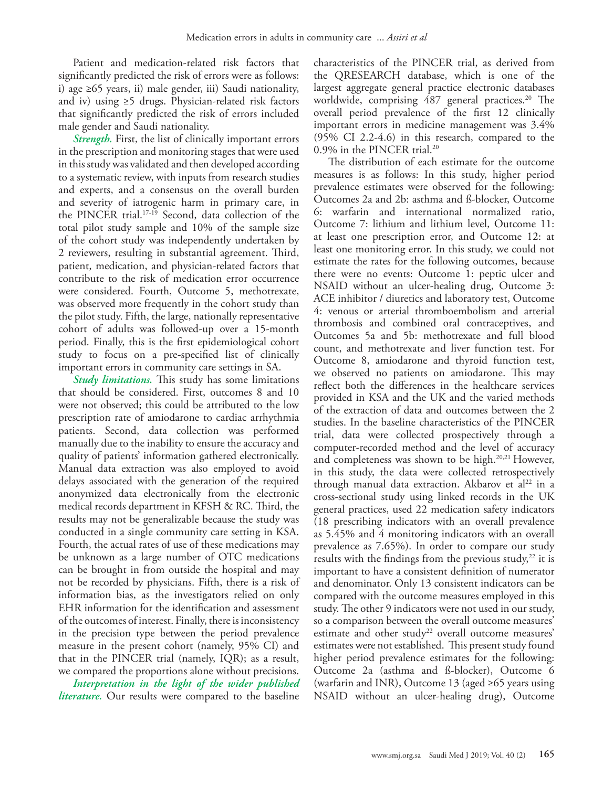Patient and medication-related risk factors that significantly predicted the risk of errors were as follows: i) age ≥65 years, ii) male gender, iii) Saudi nationality, and iv) using ≥5 drugs. Physician-related risk factors that significantly predicted the risk of errors included male gender and Saudi nationality.

*Strength.* First, the list of clinically important errors in the prescription and monitoring stages that were used in this study was validated and then developed according to a systematic review, with inputs from research studies and experts, and a consensus on the overall burden and severity of iatrogenic harm in primary care, in the PINCER trial[.17-](#page-9-14)[19](#page-9-15) Second, data collection of the total pilot study sample and 10% of the sample size of the cohort study was independently undertaken by 2 reviewers, resulting in substantial agreement. Third, patient, medication, and physician-related factors that contribute to the risk of medication error occurrence were considered. Fourth, Outcome 5, methotrexate, was observed more frequently in the cohort study than the pilot study. Fifth, the large, nationally representative cohort of adults was followed-up over a 15-month period. Finally, this is the first epidemiological cohort study to focus on a pre-specified list of clinically important errors in community care settings in SA.

*Study limitations.* This study has some limitations that should be considered. First, outcomes 8 and 10 were not observed; this could be attributed to the low prescription rate of amiodarone to cardiac arrhythmia patients. Second, data collection was performed manually due to the inability to ensure the accuracy and quality of patients' information gathered electronically. Manual data extraction was also employed to avoid delays associated with the generation of the required anonymized data electronically from the electronic medical records department in KFSH & RC. Third, the results may not be generalizable because the study was conducted in a single community care setting in KSA. Fourth, the actual rates of use of these medications may be unknown as a large number of OTC medications can be brought in from outside the hospital and may not be recorded by physicians. Fifth, there is a risk of information bias, as the investigators relied on only EHR information for the identification and assessment of the outcomes of interest. Finally, there is inconsistency in the precision type between the period prevalence measure in the present cohort (namely, 95% CI) and that in the PINCER trial (namely, IQR); as a result, we compared the proportions alone without precisions.

*Interpretation in the light of the wider published literature.* Our results were compared to the baseline

characteristics of the PINCER trial, as derived from the QRESEARCH database, which is one of the largest aggregate general practice electronic databases worldwide, comprising 487 general practices.<sup>20</sup> The overall period prevalence of the first 12 clinically important errors in medicine management was 3.4% (95% CI 2.2-4.6) in this research, compared to the 0.9% in the PINCER trial.[20](#page-9-16)

The distribution of each estimate for the outcome measures is as follows: In this study, higher period prevalence estimates were observed for the following: Outcomes 2a and 2b: asthma and ß-blocker, Outcome 6: warfarin and international normalized ratio, Outcome 7: lithium and lithium level, Outcome 11: at least one prescription error, and Outcome 12: at least one monitoring error. In this study, we could not estimate the rates for the following outcomes, because there were no events: Outcome 1: peptic ulcer and NSAID without an ulcer-healing drug, Outcome 3: ACE inhibitor / diuretics and laboratory test, Outcome 4: venous or arterial thromboembolism and arterial thrombosis and combined oral contraceptives, and Outcomes 5a and 5b: methotrexate and full blood count, and methotrexate and liver function test. For Outcome 8, amiodarone and thyroid function test, we observed no patients on amiodarone. This may reflect both the differences in the healthcare services provided in KSA and the UK and the varied methods of the extraction of data and outcomes between the 2 studies. In the baseline characteristics of the PINCER trial, data were collected prospectively through a computer-recorded method and the level of accuracy and completeness was shown to be high.<sup>[20](#page-9-16),[21](#page-9-17)</sup> However, in this study, the data were collected retrospectively through manual data extraction. Akbarov et al<sup>22</sup> in a cross-sectional study using linked records in the UK general practices, used 22 medication safety indicators (18 prescribing indicators with an overall prevalence as 5.45% and 4 monitoring indicators with an overall prevalence as 7.65%). In order to compare our study results with the findings from the previous study, $22$  it is important to have a consistent definition of numerator and denominator. Only 13 consistent indicators can be compared with the outcome measures employed in this study. The other 9 indicators were not used in our study, so a comparison between the overall outcome measures' estimate and other study<sup>[22](#page-9-18)</sup> overall outcome measures' estimates were not established. This present study found higher period prevalence estimates for the following: Outcome 2a (asthma and ß-blocker), Outcome 6 (warfarin and INR), Outcome 13 (aged ≥65 years using NSAID without an ulcer-healing drug), Outcome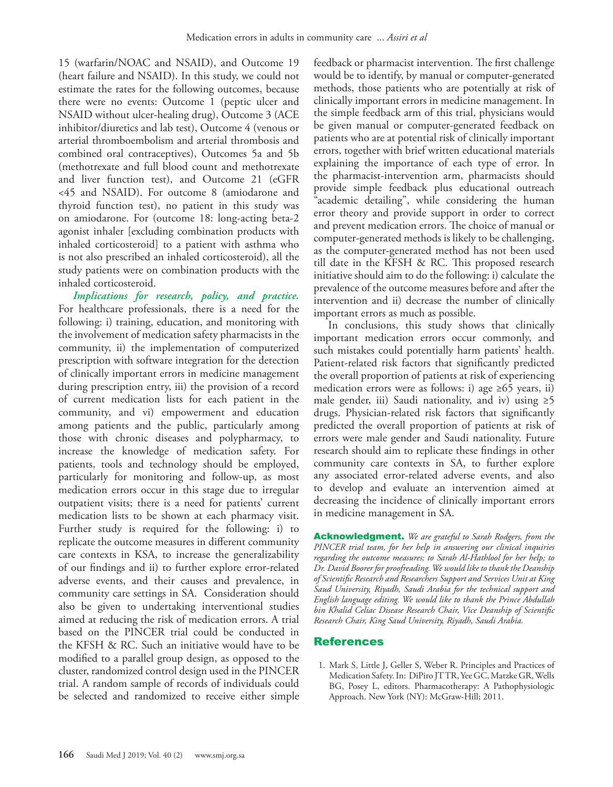15 (warfarin/NOAC and NSAID), and Outcome 19 (heart failure and NSAID). In this study, we could not estimate the rates for the following outcomes, because there were no events: Outcome 1 (peptic ulcer and NSAID without ulcer-healing drug), Outcome 3 (ACE inhibitor/diuretics and lab test), Outcome 4 (venous or arterial thromboembolism and arterial thrombosis and combined oral contraceptives), Outcomes 5a and 5b (methotrexate and full blood count and methotrexate and liver function test), and Outcome 21 (eGFR <45 and NSAID). For outcome 8 (amiodarone and thyroid function test), no patient in this study was on amiodarone. For (outcome 18: long-acting beta-2 agonist inhaler [excluding combination products with inhaled corticosteroid] to a patient with asthma who is not also prescribed an inhaled corticosteroid), all the study patients were on combination products with the inhaled corticosteroid.

*Implications for research, policy, and practice.*  For healthcare professionals, there is a need for the following: i) training, education, and monitoring with the involvement of medication safety pharmacists in the community, ii) the implementation of computerized prescription with software integration for the detection of clinically important errors in medicine management during prescription entry, iii) the provision of a record of current medication lists for each patient in the community, and vi) empowerment and education among patients and the public, particularly among those with chronic diseases and polypharmacy, to increase the knowledge of medication safety. For patients, tools and technology should be employed, particularly for monitoring and follow-up, as most medication errors occur in this stage due to irregular outpatient visits; there is a need for patients' current medication lists to be shown at each pharmacy visit. Further study is required for the following: i) to replicate the outcome measures in different community care contexts in KSA, to increase the generalizability of our findings and ii) to further explore error-related adverse events, and their causes and prevalence, in community care settings in SA. Consideration should also be given to undertaking interventional studies aimed at reducing the risk of medication errors. A trial based on the PINCER trial could be conducted in the KFSH & RC. Such an initiative would have to be modified to a parallel group design, as opposed to the cluster, randomized control design used in the PINCER trial. A random sample of records of individuals could be selected and randomized to receive either simple

feedback or pharmacist intervention. The first challenge would be to identify, by manual or computer-generated methods, those patients who are potentially at risk of clinically important errors in medicine management. In the simple feedback arm of this trial, physicians would be given manual or computer-generated feedback on patients who are at potential risk of clinically important errors, together with brief written educational materials explaining the importance of each type of error. In the pharmacist-intervention arm, pharmacists should provide simple feedback plus educational outreach "academic detailing", while considering the human error theory and provide support in order to correct and prevent medication errors. The choice of manual or computer-generated methods is likely to be challenging, as the computer-generated method has not been used till date in the KFSH & RC. This proposed research initiative should aim to do the following: i) calculate the prevalence of the outcome measures before and after the intervention and ii) decrease the number of clinically important errors as much as possible.

In conclusions, this study shows that clinically important medication errors occur commonly, and such mistakes could potentially harm patients' health. Patient-related risk factors that significantly predicted the overall proportion of patients at risk of experiencing medication errors were as follows: i) age  $\geq 65$  years, ii) male gender, iii) Saudi nationality, and iv) using  $\geq 5$ drugs. Physician-related risk factors that significantly predicted the overall proportion of patients at risk of errors were male gender and Saudi nationality. Future research should aim to replicate these findings in other community care contexts in SA, to further explore any associated error-related adverse events, and also to develop and evaluate an intervention aimed at decreasing the incidence of clinically important errors in medicine management in SA.

Acknowledgment. *We are grateful to Sarah Rodgers, from the PINCER trial team, for her help in answering our clinical inquiries regarding the outcome measures; to Sarah Al-Hathlool for her help; to Dr. David Boorer for proofreading. We would like to thank the Deanship of Scientific Research and Researchers Support and Services Unit at King Saud University, Riyadh, Saudi Arabia for the technical support and English language editing. We would like to thank the Prince Abdullah bin Khalid Celiac Disease Research Chair, Vice Deanship of Scientific Research Chair, King Saud University, Riyadh, Saudi Arabia.*

### References

<span id="page-8-0"></span> 1. Mark S, Little J, Geller S, Weber R. Principles and Practices of Medication Safety. In: DiPiro JT TR, Yee GC, Matzke GR, Wells BG, Posey L, editors. Pharmacotherapy: A Pathophysiologic Approach. New York (NY): McGraw-Hill; 2011.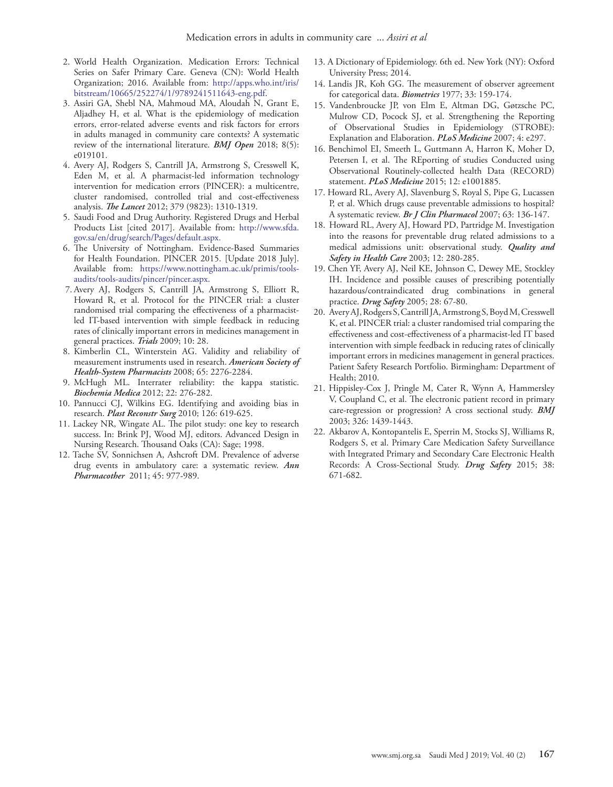- <span id="page-9-0"></span> 2. [World Health Organization. Medication Errors: Technical](http://apps.who.int/iris/bitstream/10665/252274/1/9789241511643-eng.pdf.)  [Series on Safer Primary Care. Geneva \(CN\): World Health](http://apps.who.int/iris/bitstream/10665/252274/1/9789241511643-eng.pdf.)  [Organization; 2016. Available from: http://apps.who.int/iris/](http://apps.who.int/iris/bitstream/10665/252274/1/9789241511643-eng.pdf.) [bitstream/10665/252274/1/9789241511643-eng.pdf.](http://apps.who.int/iris/bitstream/10665/252274/1/9789241511643-eng.pdf.)
- <span id="page-9-1"></span> 3. [Assiri GA, Shebl NA, Mahmoud MA, Aloudah N, Grant E,](https://doi.org/10.1136/bmjopen-2017-019101)  [Aljadhey H, et al. What is the epidemiology of medication](https://doi.org/10.1136/bmjopen-2017-019101)  [errors, error-related adverse events and risk factors for errors](https://doi.org/10.1136/bmjopen-2017-019101)  [in adults managed in community care contexts? A systematic](https://doi.org/10.1136/bmjopen-2017-019101)  [review of the international literature.](https://doi.org/10.1136/bmjopen-2017-019101) *BMJ Open* 2018; 8(5): [e019101.](https://doi.org/10.1136/bmjopen-2017-019101)
- <span id="page-9-2"></span> 4. [Avery AJ, Rodgers S, Cantrill JA, Armstrong S, Cresswell K,](https://doi.org/10.1016/S0140-6736(11)61817-5)  [Eden M, et al. A pharmacist-led information technology](https://doi.org/10.1016/S0140-6736(11)61817-5)  [intervention for medication errors \(PINCER\): a multicentre,](https://doi.org/10.1016/S0140-6736(11)61817-5)  [cluster randomised, controlled trial and cost-effectiveness](https://doi.org/10.1016/S0140-6736(11)61817-5)  analysis. *The Lancet* [2012; 379 \(9823\): 1310-1319.](https://doi.org/10.1016/S0140-6736(11)61817-5)
- <span id="page-9-3"></span> 5. Saudi Food and Drug Authority. Registered Drugs and Herbal Products List [cited 2017]. Available from: http://www.sfda. gov.sa/en/drug/search/Pages/default.aspx.
- <span id="page-9-4"></span> 6. The University of Nottingham. Evidence-Based Summaries for Health Foundation. PINCER 2015. [Update 2018 July]. Available from: https://www.nottingham.ac.uk/primis/toolsaudits/tools-audits/pincer/pincer.aspx.
- <span id="page-9-5"></span> 7. [Avery AJ, Rodgers S, Cantrill JA, Armstrong S, Elliott R,](https://doi.org/10.1186/1745-6215-10-28)  [Howard R, et al. Protocol for the PINCER trial: a cluster](https://doi.org/10.1186/1745-6215-10-28)  [randomised trial comparing the effectiveness of a pharmacist](https://doi.org/10.1186/1745-6215-10-28)[led IT-based intervention with simple feedback in reducing](https://doi.org/10.1186/1745-6215-10-28)  [rates of clinically important errors in medicines management in](https://doi.org/10.1186/1745-6215-10-28)  [general practices.](https://doi.org/10.1186/1745-6215-10-28) *Trials* 2009; 10: 28.
- <span id="page-9-6"></span> 8. [Kimberlin CL, Winterstein AG. Validity and reliability of](https://doi.org/10.2146/ajhp070364)  [measurement instruments used in research.](https://doi.org/10.2146/ajhp070364) *American Society of [Health-System Pharmacists](https://doi.org/10.2146/ajhp070364)* 2008; 65: 2276-2284.
- <span id="page-9-7"></span> 9. [McHugh ML. Interrater reliability: the kappa statistic.](https://doi.org/10.11613/BM.2012.031)  *Biochemia Medica* [2012; 22: 276-282.](https://doi.org/10.11613/BM.2012.031)
- <span id="page-9-8"></span>10. [Pannucci CJ, Wilkins EG. Identifying and avoiding bias in](https://doi.org/10.1097/PRS.0b013e3181de24bc)  research. *Plast Reconstr Surg* [2010; 126: 619-625.](https://doi.org/10.1097/PRS.0b013e3181de24bc)
- <span id="page-9-9"></span>11. [Lackey NR, Wingate AL. The pilot study: one key to research](https://doi.org/10.4135/9781452204840.n15)  [success. In: Brink PJ, Wood MJ, editors. Advanced Design in](https://doi.org/10.4135/9781452204840.n15)  [Nursing Research. Thousand Oaks \(CA\): Sage; 1998.](https://doi.org/10.4135/9781452204840.n15)
- <span id="page-9-10"></span>12. [Tache SV, Sonnichsen A, Ashcroft DM. Prevalence of adverse](https://doi.org/10.1345/aph.1P627)  [drug events in ambulatory care: a systematic review.](https://doi.org/10.1345/aph.1P627) *Ann Pharmacother* [2011; 45: 977-989.](https://doi.org/10.1345/aph.1P627)
- <span id="page-9-11"></span>13. A Dictionary of Epidemiology. 6th ed. New York (NY): Oxford University Press; 2014.
- <span id="page-9-12"></span>14. [Landis JR, Koh GG. The measurement of observer agreement](https://doi.org/10.2307/2529310)  for categorical data. *Biometrics* [1977; 33: 159-174.](https://doi.org/10.2307/2529310)
- <span id="page-9-13"></span>15. [Vandenbroucke JP, von Elm E, Altman DG, Gøtzsche PC,](https://doi.org/10.1371/journal.pmed.0040297)  [Mulrow CD, Pocock SJ, et al. Strengthening the Reporting](https://doi.org/10.1371/journal.pmed.0040297)  [of Observational Studies in Epidemiology \(STROBE\):](https://doi.org/10.1371/journal.pmed.0040297)  [Explanation and Elaboration.](https://doi.org/10.1371/journal.pmed.0040297) *PLoS Medicine* 2007; 4: e297.
- 16. [Benchimol EI, Smeeth L, Guttmann A, Harron K, Moher D,](https://doi.org/10.1371/journal.pmed.1001885)  [Petersen I, et al. The REporting of studies Conducted using](https://doi.org/10.1371/journal.pmed.1001885)  [Observational Routinely-collected health Data \(RECORD\)](https://doi.org/10.1371/journal.pmed.1001885)  statement. *PLoS Medicine* [2015; 12: e1001885.](https://doi.org/10.1371/journal.pmed.1001885)
- <span id="page-9-14"></span>17. [Howard RL, Avery AJ, Slavenburg S, Royal S, Pipe G, Lucassen](https://doi.org/10.1111/j.1365-2125.2006.02698.x)  [P, et al. Which drugs cause preventable admissions to hospital?](https://doi.org/10.1111/j.1365-2125.2006.02698.x)  A systematic review. *[Br J Clin Pharmacol](https://doi.org/10.1111/j.1365-2125.2006.02698.x)* 2007; 63: 136-147.
- 18. [Howard RL, Avery AJ, Howard PD, Partridge M. Investigation](https://doi.org/10.1136/qhc.12.4.280)  [into the reasons for preventable drug related admissions to a](https://doi.org/10.1136/qhc.12.4.280)  [medical admissions unit: observational study.](https://doi.org/10.1136/qhc.12.4.280) *Quality and [Safety in Health Care](https://doi.org/10.1136/qhc.12.4.280)* 2003; 12: 280-285.
- <span id="page-9-15"></span>19. Chen YF, Avery AJ, Neil KE, Johnson C, Dewey ME, Stockley IH. Incidence and possible causes of prescribing potentially hazardous/contraindicated drug combinations in general practice. *Drug Safety* 2005; 28: 67-80.
- <span id="page-9-16"></span>20. Avery AJ, Rodgers S, Cantrill JA, Armstrong S, Boyd M, Cresswell K, et al. PINCER trial: a cluster randomised trial comparing the effectiveness and cost-effectiveness of a pharmacist-led IT based intervention with simple feedback in reducing rates of clinically important errors in medicines management in general practices. Patient Safety Research Portfolio. Birmingham: Department of Health; 2010.
- <span id="page-9-17"></span>21. [Hippisley-Cox J, Pringle M, Cater R, Wynn A, Hammersley](https://doi.org/10.1136/bmj.326.7404.1439)  [V, Coupland C, et al. The electronic patient record in primary](https://doi.org/10.1136/bmj.326.7404.1439)  [care-regression or progression? A cross sectional study.](https://doi.org/10.1136/bmj.326.7404.1439) *BMJ*  [2003; 326: 1439-1443.](https://doi.org/10.1136/bmj.326.7404.1439)
- <span id="page-9-18"></span>22. [Akbarov A, Kontopantelis E, Sperrin M, Stocks SJ, Williams R,](https://doi.org/10.1007/s40264-015-0304-x)  [Rodgers S, et al. Primary Care Medication Safety Surveillance](https://doi.org/10.1007/s40264-015-0304-x)  [with Integrated Primary and Secondary Care Electronic Health](https://doi.org/10.1007/s40264-015-0304-x)  [Records: A Cross-Sectional Study.](https://doi.org/10.1007/s40264-015-0304-x) *Drug Safety* 2015; 38: [671-682.](https://doi.org/10.1007/s40264-015-0304-x)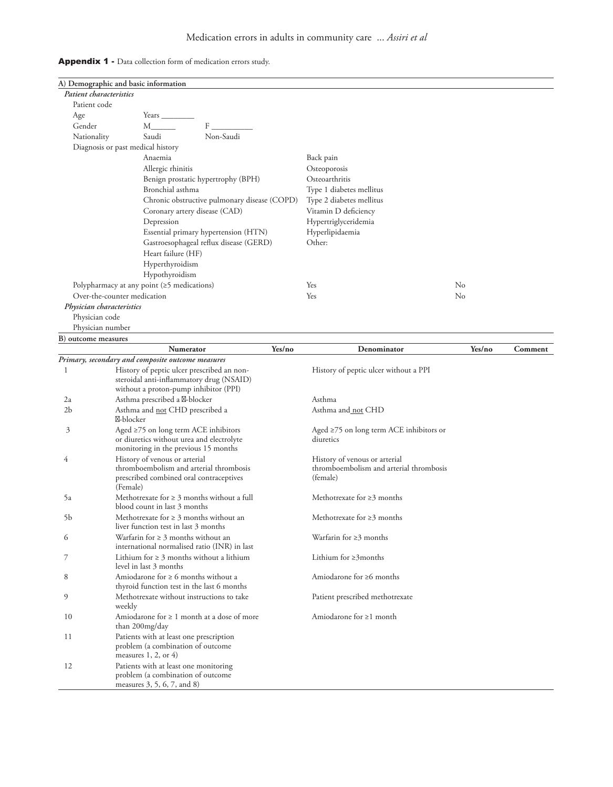|  | <b>Appendix 1</b> - Data collection form of medication errors study. |
|--|----------------------------------------------------------------------|
|--|----------------------------------------------------------------------|

|                           | A) Demographic and basic information                                                    |        |                                               |          |         |
|---------------------------|-----------------------------------------------------------------------------------------|--------|-----------------------------------------------|----------|---------|
| Patient characteristics   |                                                                                         |        |                                               |          |         |
| Patient code              |                                                                                         |        |                                               |          |         |
| Age                       | Years _                                                                                 |        |                                               |          |         |
| Gender                    | F<br>$M_{\perp}$                                                                        |        |                                               |          |         |
| Nationality               | Saudi<br>Non-Saudi                                                                      |        |                                               |          |         |
|                           | Diagnosis or past medical history                                                       |        |                                               |          |         |
|                           | Anaemia                                                                                 |        | Back pain                                     |          |         |
|                           | Allergic rhinitis                                                                       |        | Osteoporosis                                  |          |         |
|                           | Benign prostatic hypertrophy (BPH)                                                      |        | Osteoarthritis                                |          |         |
|                           | Bronchial asthma                                                                        |        | Type 1 diabetes mellitus                      |          |         |
|                           | Chronic obstructive pulmonary disease (COPD)                                            |        | Type 2 diabetes mellitus                      |          |         |
|                           | Coronary artery disease (CAD)                                                           |        | Vitamin D deficiency                          |          |         |
|                           | Depression                                                                              |        | Hypertriglyceridemia                          |          |         |
|                           | Essential primary hypertension (HTN)                                                    |        | Hyperlipidaemia                               |          |         |
|                           | Gastroesophageal reflux disease (GERD)                                                  |        | Other:                                        |          |         |
|                           | Heart failure (HF)                                                                      |        |                                               |          |         |
|                           | Hyperthyroidism                                                                         |        |                                               |          |         |
|                           | Hypothyroidism                                                                          |        |                                               |          |         |
|                           | Polypharmacy at any point $(\geq 5 \text{ medications})$                                |        | Yes                                           | No       |         |
|                           | Over-the-counter medication                                                             |        | Yes                                           | $\rm No$ |         |
| Physician characteristics |                                                                                         |        |                                               |          |         |
| Physician code            |                                                                                         |        |                                               |          |         |
| Physician number          |                                                                                         |        |                                               |          |         |
| B) outcome measures       |                                                                                         |        |                                               |          |         |
|                           | <b>Numerator</b>                                                                        | Yes/no | Denominator                                   | Yes/no   | Comment |
|                           | Primary, secondary and composite outcome measures                                       |        |                                               |          |         |
| 1                         | History of peptic ulcer prescribed an non-                                              |        | History of peptic ulcer without a PPI         |          |         |
|                           | steroidal anti-inflammatory drug (NSAID)<br>without a proton-pump inhibitor (PPI)       |        |                                               |          |         |
| 2a                        | Asthma prescribed a -blocker                                                            |        | Asthma                                        |          |         |
| 2 <sub>b</sub>            | Asthma and not CHD prescribed a<br>-blocker                                             |        | Asthma and not CHD                            |          |         |
| 3                         | Aged $\geq$ 75 on long term ACE inhibitors                                              |        | Aged $\geq$ 75 on long term ACE inhibitors or |          |         |
|                           | or diuretics without urea and electrolyte                                               |        | diuretics                                     |          |         |
|                           | monitoring in the previous 15 months                                                    |        |                                               |          |         |
| 4                         | History of venous or arterial                                                           |        | History of venous or arterial                 |          |         |
|                           | thromboembolism and arterial thrombosis                                                 |        | thromboembolism and arterial thrombosis       |          |         |
|                           | prescribed combined oral contraceptives<br>(Female)                                     |        | (female)                                      |          |         |
| 5a                        | Methotrexate for $\geq 3$ months without a full                                         |        | Methotrexate for $\geq$ 3 months              |          |         |
|                           | blood count in last 3 months                                                            |        |                                               |          |         |
| 5b                        | Methotrexate for $\geq 3$ months without an<br>liver function test in last 3 months     |        | Methotrexate for $\geq$ 3 months              |          |         |
| 6                         | Warfarin for $\geq 3$ months without an<br>international normalised ratio (INR) in last |        | Warfarin for ≥3 months                        |          |         |
| 7                         | Lithium for $\geq 3$ months without a lithium<br>level in last 3 months                 |        | Lithium for $\geq$ 3months                    |          |         |
| 8                         | Amiodarone for $\geq 6$ months without a<br>thyroid function test in the last 6 months  |        | Amiodarone for $\geq 6$ months                |          |         |
| 9                         | Methotrexate without instructions to take<br>weekly                                     |        | Patient prescribed methotrexate               |          |         |
| 10                        | Amiodarone for $\geq 1$ month at a dose of more<br>than 200mg/day                       |        | Amiodarone for $\geq 1$ month                 |          |         |
| 11                        | Patients with at least one prescription<br>problem (a combination of outcome            |        |                                               |          |         |
| 12                        | measures $1, 2,$ or $4)$<br>Patients with at least one monitoring                       |        |                                               |          |         |
|                           | problem (a combination of outcome<br>measures 3, 5, 6, 7, and 8)                        |        |                                               |          |         |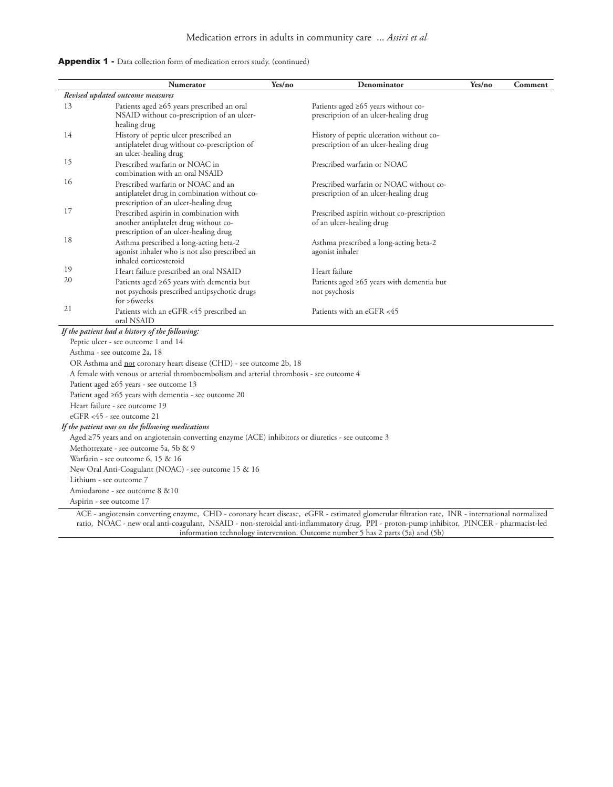| Appendix 1 - Data collection form of medication errors study. (continued) |  |  |  |  |  |
|---------------------------------------------------------------------------|--|--|--|--|--|
|---------------------------------------------------------------------------|--|--|--|--|--|

|                          | <b>Numerator</b>                                                                                                                                 | Yes/no | Denominator                                                                                                                                    | Yes/no | Comment |
|--------------------------|--------------------------------------------------------------------------------------------------------------------------------------------------|--------|------------------------------------------------------------------------------------------------------------------------------------------------|--------|---------|
|                          | Revised updated outcome measures                                                                                                                 |        |                                                                                                                                                |        |         |
| 13                       | Patients aged ≥65 years prescribed an oral<br>NSAID without co-prescription of an ulcer-<br>healing drug                                         |        | Patients aged $\geq 65$ years without co-<br>prescription of an ulcer-healing drug                                                             |        |         |
| 14                       | History of peptic ulcer prescribed an<br>antiplatelet drug without co-prescription of<br>an ulcer-healing drug                                   |        | History of peptic ulceration without co-<br>prescription of an ulcer-healing drug                                                              |        |         |
| 15                       | Prescribed warfarin or NOAC in<br>combination with an oral NSAID                                                                                 |        | Prescribed warfarin or NOAC                                                                                                                    |        |         |
| 16                       | Prescribed warfarin or NOAC and an<br>antiplatelet drug in combination without co-<br>prescription of an ulcer-healing drug                      |        | Prescribed warfarin or NOAC without co-<br>prescription of an ulcer-healing drug                                                               |        |         |
| 17                       | Prescribed aspirin in combination with<br>another antiplatelet drug without co-<br>prescription of an ulcer-healing drug                         |        | Prescribed aspirin without co-prescription<br>of an ulcer-healing drug                                                                         |        |         |
| 18                       | Asthma prescribed a long-acting beta-2<br>agonist inhaler who is not also prescribed an<br>inhaled corticosteroid                                |        | Asthma prescribed a long-acting beta-2<br>agonist inhaler                                                                                      |        |         |
| 19                       | Heart failure prescribed an oral NSAID                                                                                                           |        | Heart failure                                                                                                                                  |        |         |
| 20                       | Patients aged ≥65 years with dementia but<br>not psychosis prescribed antipsychotic drugs                                                        |        | Patients aged ≥65 years with dementia but<br>not psychosis                                                                                     |        |         |
| 21                       | for >6weeks<br>Patients with an eGFR <45 prescribed an<br>oral NSAID                                                                             |        | Patients with an eGFR <45                                                                                                                      |        |         |
|                          | If the patient had a history of the following:                                                                                                   |        |                                                                                                                                                |        |         |
|                          | Peptic ulcer - see outcome 1 and 14                                                                                                              |        |                                                                                                                                                |        |         |
|                          | Asthma - see outcome 2a, 18                                                                                                                      |        |                                                                                                                                                |        |         |
|                          | OR Asthma and not coronary heart disease (CHD) - see outcome 2b, 18                                                                              |        |                                                                                                                                                |        |         |
|                          | A female with venous or arterial thromboembolism and arterial thrombosis - see outcome 4                                                         |        |                                                                                                                                                |        |         |
|                          | Patient aged ≥65 years - see outcome 13                                                                                                          |        |                                                                                                                                                |        |         |
|                          | Patient aged $\geq 65$ years with dementia - see outcome 20                                                                                      |        |                                                                                                                                                |        |         |
|                          | Heart failure - see outcome 19                                                                                                                   |        |                                                                                                                                                |        |         |
|                          | eGFR <45 - see outcome 21                                                                                                                        |        |                                                                                                                                                |        |         |
|                          | If the patient was on the following medications                                                                                                  |        |                                                                                                                                                |        |         |
|                          | Aged $\geq$ 75 years and on angiotensin converting enzyme (ACE) inhibitors or diuretics - see outcome 3<br>Methotrexate - see outcome 5a, 5b & 9 |        |                                                                                                                                                |        |         |
|                          | Warfarin - see outcome 6, 15 & 16                                                                                                                |        |                                                                                                                                                |        |         |
|                          | New Oral Anti-Coagulant (NOAC) - see outcome 15 & 16                                                                                             |        |                                                                                                                                                |        |         |
| Lithium - see outcome 7  |                                                                                                                                                  |        |                                                                                                                                                |        |         |
|                          | Amiodarone - see outcome 8 & 10                                                                                                                  |        |                                                                                                                                                |        |         |
| Aspirin - see outcome 17 |                                                                                                                                                  |        |                                                                                                                                                |        |         |
|                          |                                                                                                                                                  |        | ACE - angiotensin converting enzyme, CHD - coronary heart disease, eGFR - estimated glomerular filtration rate, INR - international normalized |        |         |

ratio, NOAC - new oral anti-coagulant, NSAID - non-steroidal anti-inflammatory drug, PPI - proton-pump inhibitor, PINCER - pharmacist-led information technology intervention. Outcome number 5 has 2 parts (5a) and (5b)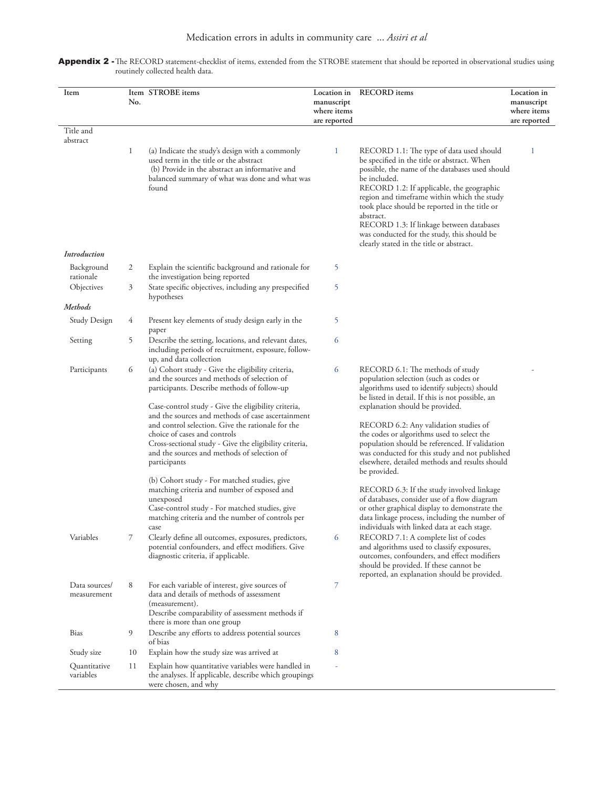| Item                         | No. | Item STROBE items                                                                                                                                                                                                                                                                                                                                                                                                                                                                                                                                                                                                                                                                                   | Location in<br>manuscript<br>where items<br>are reported | <b>RECORD</b> items                                                                                                                                                                                                                                                                                                                                                                                                                                                                                                                                                                                                                                                                                                          | Location in<br>manuscript<br>where items<br>are reported |
|------------------------------|-----|-----------------------------------------------------------------------------------------------------------------------------------------------------------------------------------------------------------------------------------------------------------------------------------------------------------------------------------------------------------------------------------------------------------------------------------------------------------------------------------------------------------------------------------------------------------------------------------------------------------------------------------------------------------------------------------------------------|----------------------------------------------------------|------------------------------------------------------------------------------------------------------------------------------------------------------------------------------------------------------------------------------------------------------------------------------------------------------------------------------------------------------------------------------------------------------------------------------------------------------------------------------------------------------------------------------------------------------------------------------------------------------------------------------------------------------------------------------------------------------------------------------|----------------------------------------------------------|
| Title and                    |     |                                                                                                                                                                                                                                                                                                                                                                                                                                                                                                                                                                                                                                                                                                     |                                                          |                                                                                                                                                                                                                                                                                                                                                                                                                                                                                                                                                                                                                                                                                                                              |                                                          |
| abstract<br>Introduction     | 1   | (a) Indicate the study's design with a commonly<br>used term in the title or the abstract<br>(b) Provide in the abstract an informative and<br>balanced summary of what was done and what was<br>found                                                                                                                                                                                                                                                                                                                                                                                                                                                                                              | 1                                                        | RECORD 1.1: The type of data used should<br>be specified in the title or abstract. When<br>possible, the name of the databases used should<br>be included.<br>RECORD 1.2: If applicable, the geographic<br>region and timeframe within which the study<br>took place should be reported in the title or<br>abstract.<br>RECORD 1.3: If linkage between databases<br>was conducted for the study, this should be<br>clearly stated in the title or abstract.                                                                                                                                                                                                                                                                  | 1                                                        |
| Background                   | 2   | Explain the scientific background and rationale for                                                                                                                                                                                                                                                                                                                                                                                                                                                                                                                                                                                                                                                 | 5                                                        |                                                                                                                                                                                                                                                                                                                                                                                                                                                                                                                                                                                                                                                                                                                              |                                                          |
| rationale<br>Objectives      | 3   | the investigation being reported<br>State specific objectives, including any prespecified                                                                                                                                                                                                                                                                                                                                                                                                                                                                                                                                                                                                           | 5                                                        |                                                                                                                                                                                                                                                                                                                                                                                                                                                                                                                                                                                                                                                                                                                              |                                                          |
| <b>Methods</b>               |     | hypotheses                                                                                                                                                                                                                                                                                                                                                                                                                                                                                                                                                                                                                                                                                          |                                                          |                                                                                                                                                                                                                                                                                                                                                                                                                                                                                                                                                                                                                                                                                                                              |                                                          |
| Study Design                 | 4   | Present key elements of study design early in the<br>paper                                                                                                                                                                                                                                                                                                                                                                                                                                                                                                                                                                                                                                          | 5                                                        |                                                                                                                                                                                                                                                                                                                                                                                                                                                                                                                                                                                                                                                                                                                              |                                                          |
| Setting                      | 5   | Describe the setting, locations, and relevant dates,<br>including periods of recruitment, exposure, follow-<br>up, and data collection                                                                                                                                                                                                                                                                                                                                                                                                                                                                                                                                                              | 6                                                        |                                                                                                                                                                                                                                                                                                                                                                                                                                                                                                                                                                                                                                                                                                                              |                                                          |
| Participants                 | 6   | (a) Cohort study - Give the eligibility criteria,<br>and the sources and methods of selection of<br>participants. Describe methods of follow-up<br>Case-control study - Give the eligibility criteria,<br>and the sources and methods of case ascertainment<br>and control selection. Give the rationale for the<br>choice of cases and controls<br>Cross-sectional study - Give the eligibility criteria,<br>and the sources and methods of selection of<br>participants<br>(b) Cohort study - For matched studies, give<br>matching criteria and number of exposed and<br>unexposed<br>Case-control study - For matched studies, give<br>matching criteria and the number of controls per<br>case | 6                                                        | RECORD 6.1: The methods of study<br>population selection (such as codes or<br>algorithms used to identify subjects) should<br>be listed in detail. If this is not possible, an<br>explanation should be provided.<br>RECORD 6.2: Any validation studies of<br>the codes or algorithms used to select the<br>population should be referenced. If validation<br>was conducted for this study and not published<br>elsewhere, detailed methods and results should<br>be provided.<br>RECORD 6.3: If the study involved linkage<br>of databases, consider use of a flow diagram<br>or other graphical display to demonstrate the<br>data linkage process, including the number of<br>individuals with linked data at each stage. |                                                          |
| Variables                    | 7   | Clearly define all outcomes, exposures, predictors,<br>potential confounders, and effect modifiers. Give<br>diagnostic criteria, if applicable.                                                                                                                                                                                                                                                                                                                                                                                                                                                                                                                                                     | 6                                                        | RECORD 7.1: A complete list of codes<br>and algorithms used to classify exposures,<br>outcomes, confounders, and effect modifiers<br>should be provided. If these cannot be<br>reported, an explanation should be provided.                                                                                                                                                                                                                                                                                                                                                                                                                                                                                                  |                                                          |
| Data sources/<br>measurement | 8   | For each variable of interest, give sources of<br>data and details of methods of assessment<br>(measurement).<br>Describe comparability of assessment methods if<br>there is more than one group                                                                                                                                                                                                                                                                                                                                                                                                                                                                                                    | 7                                                        |                                                                                                                                                                                                                                                                                                                                                                                                                                                                                                                                                                                                                                                                                                                              |                                                          |
| <b>Bias</b>                  | 9   | Describe any efforts to address potential sources<br>of bias                                                                                                                                                                                                                                                                                                                                                                                                                                                                                                                                                                                                                                        | 8                                                        |                                                                                                                                                                                                                                                                                                                                                                                                                                                                                                                                                                                                                                                                                                                              |                                                          |
| Study size                   | 10  | Explain how the study size was arrived at                                                                                                                                                                                                                                                                                                                                                                                                                                                                                                                                                                                                                                                           | 8                                                        |                                                                                                                                                                                                                                                                                                                                                                                                                                                                                                                                                                                                                                                                                                                              |                                                          |
| Quantitative<br>variables    | 11  | Explain how quantitative variables were handled in<br>the analyses. If applicable, describe which groupings<br>were chosen, and why                                                                                                                                                                                                                                                                                                                                                                                                                                                                                                                                                                 |                                                          |                                                                                                                                                                                                                                                                                                                                                                                                                                                                                                                                                                                                                                                                                                                              |                                                          |

Appendix 2 -The RECORD statement-checklist of items, extended from the STROBE statement that should be reported in observational studies using routinely collected health data.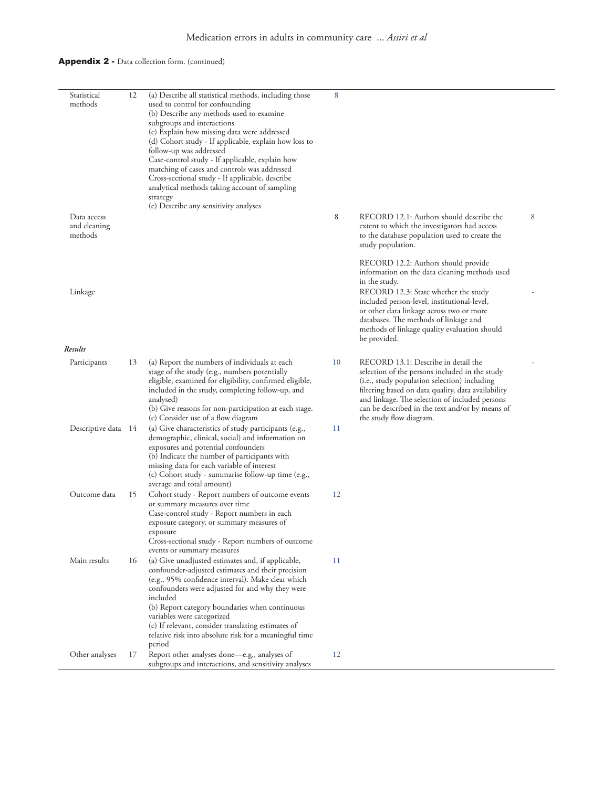### Appendix 2 - Data collection form. (continued)

| Statistical<br>methods                 | 12 | (a) Describe all statistical methods, including those<br>used to control for confounding<br>(b) Describe any methods used to examine<br>subgroups and interactions<br>(c) Explain how missing data were addressed<br>(d) Cohort study - If applicable, explain how loss to<br>follow-up was addressed<br>Case-control study - If applicable, explain how<br>matching of cases and controls was addressed<br>Cross-sectional study - If applicable, describe<br>analytical methods taking account of sampling<br>strategy<br>(e) Describe any sensitivity analyses | 8  |                                                                                                                                                                                                                                                                                                                                                   |   |
|----------------------------------------|----|-------------------------------------------------------------------------------------------------------------------------------------------------------------------------------------------------------------------------------------------------------------------------------------------------------------------------------------------------------------------------------------------------------------------------------------------------------------------------------------------------------------------------------------------------------------------|----|---------------------------------------------------------------------------------------------------------------------------------------------------------------------------------------------------------------------------------------------------------------------------------------------------------------------------------------------------|---|
| Data access<br>and cleaning<br>methods |    |                                                                                                                                                                                                                                                                                                                                                                                                                                                                                                                                                                   | 8  | RECORD 12.1: Authors should describe the<br>extent to which the investigators had access<br>to the database population used to create the<br>study population.                                                                                                                                                                                    | 8 |
| Linkage                                |    |                                                                                                                                                                                                                                                                                                                                                                                                                                                                                                                                                                   |    | RECORD 12.2: Authors should provide<br>information on the data cleaning methods used<br>in the study.<br>RECORD 12.3: State whether the study<br>included person-level, institutional-level,<br>or other data linkage across two or more<br>databases. The methods of linkage and<br>methods of linkage quality evaluation should<br>be provided. |   |
| Results                                |    |                                                                                                                                                                                                                                                                                                                                                                                                                                                                                                                                                                   |    |                                                                                                                                                                                                                                                                                                                                                   |   |
| Participants                           | 13 | (a) Report the numbers of individuals at each<br>stage of the study (e.g., numbers potentially<br>eligible, examined for eligibility, confirmed eligible,<br>included in the study, completing follow-up, and<br>analysed)<br>(b) Give reasons for non-participation at each stage.<br>(c) Consider use of a flow diagram                                                                                                                                                                                                                                         | 10 | RECORD 13.1: Describe in detail the<br>selection of the persons included in the study<br>(i.e., study population selection) including<br>filtering based on data quality, data availability<br>and linkage. The selection of included persons<br>can be described in the text and/or by means of<br>the study flow diagram.                       |   |
| Descriptive data 14                    |    | (a) Give characteristics of study participants (e.g.,<br>demographic, clinical, social) and information on<br>exposures and potential confounders<br>(b) Indicate the number of participants with<br>missing data for each variable of interest<br>(c) Cohort study - summarise follow-up time (e.g.,<br>average and total amount)                                                                                                                                                                                                                                | 11 |                                                                                                                                                                                                                                                                                                                                                   |   |
| Outcome data                           | 15 | Cohort study - Report numbers of outcome events<br>or summary measures over time<br>Case-control study - Report numbers in each<br>exposure category, or summary measures of<br>exposure<br>Cross-sectional study - Report numbers of outcome<br>events or summary measures                                                                                                                                                                                                                                                                                       | 12 |                                                                                                                                                                                                                                                                                                                                                   |   |
| Main results                           | 16 | (a) Give unadjusted estimates and, if applicable,<br>confounder-adjusted estimates and their precision<br>(e.g., 95% confidence interval). Make clear which<br>confounders were adjusted for and why they were<br>included<br>(b) Report category boundaries when continuous<br>variables were categorized<br>(c) If relevant, consider translating estimates of<br>relative risk into absolute risk for a meaningful time                                                                                                                                        | 11 |                                                                                                                                                                                                                                                                                                                                                   |   |
| Other analyses                         | 17 | period<br>Report other analyses done-e.g., analyses of<br>subgroups and interactions, and sensitivity analyses                                                                                                                                                                                                                                                                                                                                                                                                                                                    | 12 |                                                                                                                                                                                                                                                                                                                                                   |   |